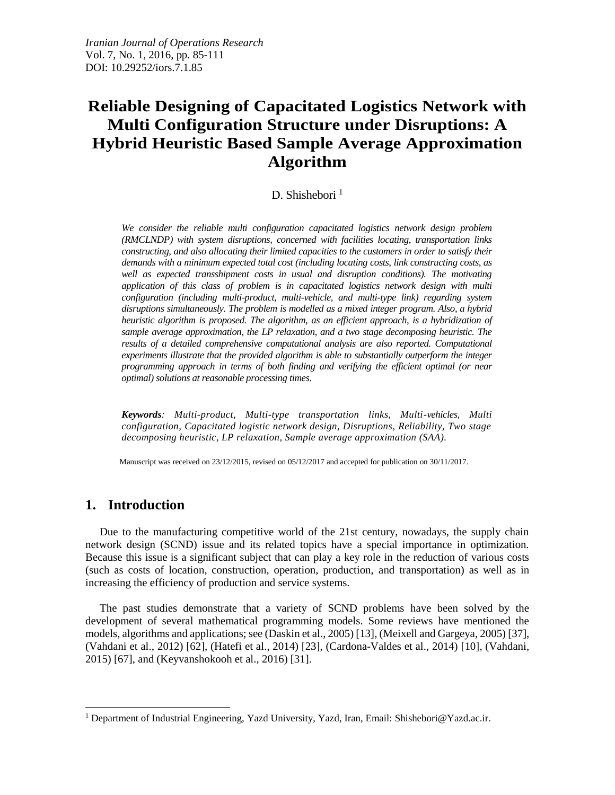# **Reliable Designing of Capacitated Logistics Network with Multi Configuration Structure under Disruptions: A Hybrid Heuristic Based Sample Average Approximation Algorithm**

D. Shishebori $<sup>1</sup>$ </sup>

*We consider the reliable multi configuration capacitated logistics network design problem (RMCLNDP) with system disruptions, concerned with facilities locating, transportation links constructing, and also allocating their limited capacities to the customers in order to satisfy their demands with a minimum expected total cost (including locating costs, link constructing costs, as well as expected transshipment costs in usual and disruption conditions). The motivating application of this class of problem is in capacitated logistics network design with multi configuration (including multi-product, multi-vehicle, and multi-type link) regarding system disruptions simultaneously. The problem is modelled as a mixed integer program. Also, a hybrid heuristic algorithm is proposed. The algorithm, as an efficient approach, is a hybridization of sample average approximation, the LP relaxation, and a two stage decomposing heuristic. The results of a detailed comprehensive computational analysis are also reported. Computational experiments illustrate that the provided algorithm is able to substantially outperform the integer programming approach in terms of both finding and verifying the efficient optimal (or near optimal) solutions at reasonable processing times.*

*Keywords: Multi-product, Multi-type transportation links, Multi-vehicles, Multi configuration, Capacitated logistic network design, Disruptions, Reliability, Two stage decomposing heuristic, LP relaxation, Sample average approximation (SAA).*

Manuscript was received on 23/12/2015, revised on 05/12/2017 and accepted for publication on 30/11/2017.

# **1. Introduction**

 $\overline{a}$ 

Due to the manufacturing competitive world of the 21st century, nowadays, the supply chain network design (SCND) issue and its related topics have a special importance in optimization. Because this issue is a significant subject that can play a key role in the reduction of various costs (such as costs of location, construction, operation, production, and transportation) as well as in increasing the efficiency of production and service systems.

The past studies demonstrate that a variety of SCND problems have been solved by the development of several mathematical programming models. Some reviews have mentioned the models, algorithms and applications; see (Daskin et al., 2005) [13], (Meixell and Gargeya, 2005) [37], (Vahdani et al., 2012) [62], (Hatefi et al., 2014) [23], (Cardona-Valdes et al., 2014) [10], (Vahdani, 2015) [67], and (Keyvanshokooh et al., 2016) [31].

<sup>&</sup>lt;sup>1</sup> Department of Industrial Engineering, Yazd University, Yazd, Iran, Email: Shishebori@Yazd.ac.ir.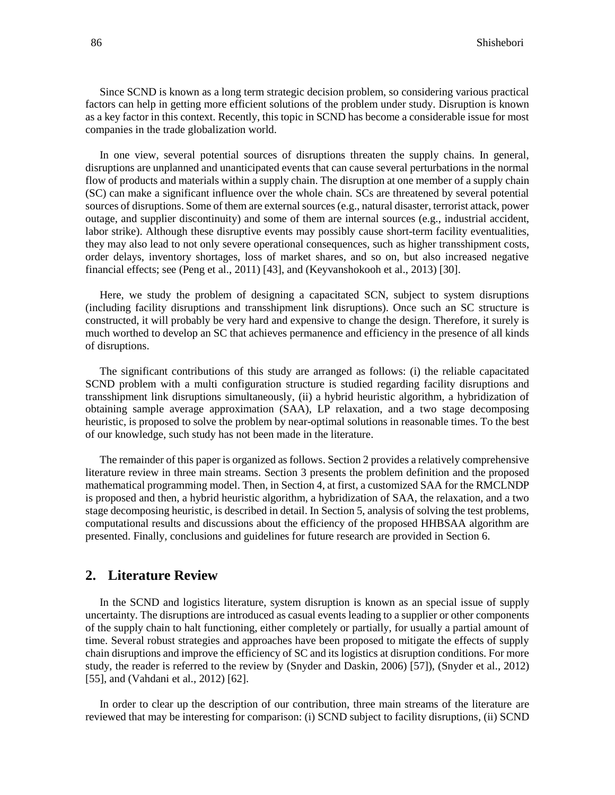Since SCND is known as a long term strategic decision problem, so considering various practical factors can help in getting more efficient solutions of the problem under study. Disruption is known as a key factor in this context. Recently, this topic in SCND has become a considerable issue for most companies in the trade globalization world.

In one view, several potential sources of disruptions threaten the supply chains. In general, disruptions are unplanned and unanticipated events that can cause several perturbations in the normal flow of products and materials within a supply chain. The disruption at one member of a supply chain (SC) can make a significant influence over the whole chain. SCs are threatened by several potential sources of disruptions. Some of them are external sources (e.g., natural disaster, terrorist attack, power outage, and supplier discontinuity) and some of them are internal sources (e.g., industrial accident, labor strike). Although these disruptive events may possibly cause short-term facility eventualities, they may also lead to not only severe operational consequences, such as higher transshipment costs, order delays, inventory shortages, loss of market shares, and so on, but also increased negative financial effects; see (Peng et al., 2011) [43], and (Keyvanshokooh et al., 2013) [30].

Here, we study the problem of designing a capacitated SCN, subject to system disruptions (including facility disruptions and transshipment link disruptions). Once such an SC structure is constructed, it will probably be very hard and expensive to change the design. Therefore, it surely is much worthed to develop an SC that achieves permanence and efficiency in the presence of all kinds of disruptions.

The significant contributions of this study are arranged as follows: (i) the reliable capacitated SCND problem with a multi configuration structure is studied regarding facility disruptions and transshipment link disruptions simultaneously, (ii) a hybrid heuristic algorithm, a hybridization of obtaining sample average approximation (SAA), LP relaxation, and a two stage decomposing heuristic, is proposed to solve the problem by near-optimal solutions in reasonable times. To the best of our knowledge, such study has not been made in the literature.

The remainder of this paper is organized as follows. Section 2 provides a relatively comprehensive literature review in three main streams. Section 3 presents the problem definition and the proposed mathematical programming model. Then, in Section 4, at first, a customized SAA for the RMCLNDP is proposed and then, a hybrid heuristic algorithm, a hybridization of SAA, the relaxation, and a two stage decomposing heuristic, is described in detail. In Section 5, analysis of solving the test problems, computational results and discussions about the efficiency of the proposed HHBSAA algorithm are presented. Finally, conclusions and guidelines for future research are provided in Section 6.

# **2. Literature Review**

In the SCND and logistics literature, system disruption is known as an special issue of supply uncertainty. The disruptions are introduced as casual events leading to a supplier or other components of the supply chain to halt functioning, either completely or partially, for usually a partial amount of time. Several robust strategies and approaches have been proposed to mitigate the effects of supply chain disruptions and improve the efficiency of SC and its logistics at disruption conditions. For more study, the reader is referred to the review by (Snyder and Daskin, 2006) [57]), (Snyder et al., 2012) [55], and (Vahdani et al., 2012) [62].

In order to clear up the description of our contribution, three main streams of the literature are reviewed that may be interesting for comparison: (i) SCND subject to facility disruptions, (ii) SCND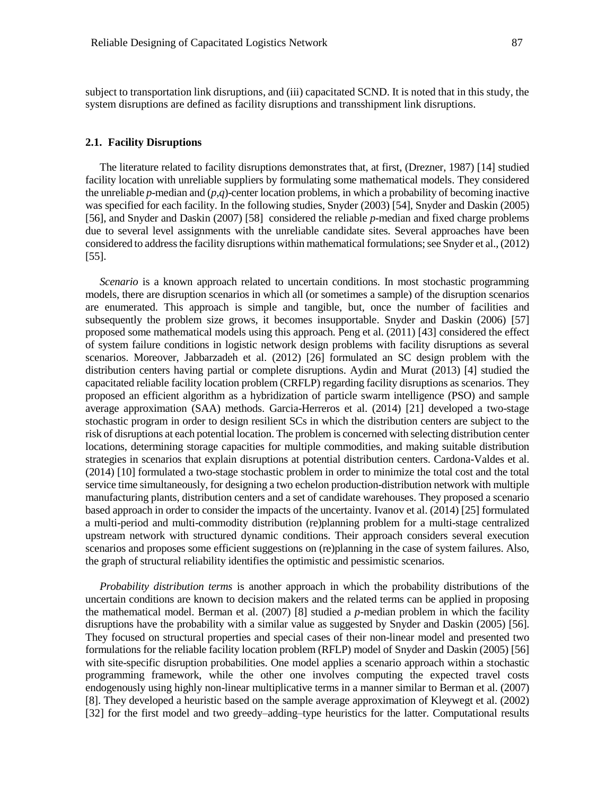subject to transportation link disruptions, and (iii) capacitated SCND. It is noted that in this study, the system disruptions are defined as facility disruptions and transshipment link disruptions.

#### **2.1. Facility Disruptions**

The literature related to facility disruptions demonstrates that, at first, (Drezner, 1987) [14] studied facility location with unreliable suppliers by formulating some mathematical models. They considered the unreliable *p*-median and (*p*,*q*)-center location problems, in which a probability of becoming inactive was specified for each facility. In the following studies, Snyder (2003) [54], Snyder and Daskin (2005) [56], and Snyder and Daskin (2007) [58] considered the reliable *p*-median and fixed charge problems due to several level assignments with the unreliable candidate sites. Several approaches have been considered to address the facility disruptions within mathematical formulations; see Snyder et al.,(2012) [55].

*Scenario* is a known approach related to uncertain conditions. In most stochastic programming models, there are disruption scenarios in which all (or sometimes a sample) of the disruption scenarios are enumerated. This approach is simple and tangible, but, once the number of facilities and subsequently the problem size grows, it becomes insupportable. Snyder and Daskin (2006) [57] proposed some mathematical models using this approach. Peng et al. (2011) [43] considered the effect of system failure conditions in logistic network design problems with facility disruptions as several scenarios. Moreover, Jabbarzadeh et al. (2012) [26] formulated an SC design problem with the distribution centers having partial or complete disruptions. Aydin and Murat (2013) [4] studied the capacitated reliable facility location problem (CRFLP) regarding facility disruptions as scenarios. They proposed an efficient algorithm as a hybridization of particle swarm intelligence (PSO) and sample average approximation (SAA) methods. Garcia-Herreros et al. (2014) [21] developed a two-stage stochastic program in order to design resilient SCs in which the distribution centers are subject to the risk of disruptions at each potential location. The problem is concerned with selecting distribution center locations, determining storage capacities for multiple commodities, and making suitable distribution strategies in scenarios that explain disruptions at potential distribution centers. Cardona-Valdes et al. (2014) [10] formulated a two-stage stochastic problem in order to minimize the total cost and the total service time simultaneously, for designing a two echelon production-distribution network with multiple manufacturing plants, distribution centers and a set of candidate warehouses. They proposed a scenario based approach in order to consider the impacts of the uncertainty. Ivanov et al. (2014) [25] formulated a multi-period and multi-commodity distribution (re)planning problem for a multi-stage centralized upstream network with structured dynamic conditions. Their approach considers several execution scenarios and proposes some efficient suggestions on (re)planning in the case of system failures. Also, the graph of structural reliability identifies the optimistic and pessimistic scenarios.

*Probability distribution terms* is another approach in which the probability distributions of the uncertain conditions are known to decision makers and the related terms can be applied in proposing the mathematical model. Berman et al. (2007) [8] studied a *p*-median problem in which the facility disruptions have the probability with a similar value as suggested by Snyder and Daskin (2005) [56]. They focused on structural properties and special cases of their non-linear model and presented two formulations for the reliable facility location problem (RFLP) model of Snyder and Daskin (2005) [56] with site-specific disruption probabilities. One model applies a scenario approach within a stochastic programming framework, while the other one involves computing the expected travel costs endogenously using highly non-linear multiplicative terms in a manner similar to Berman et al. (2007) [8]. They developed a heuristic based on the sample average approximation of Kleywegt et al. (2002) [32] for the first model and two greedy–adding–type heuristics for the latter. Computational results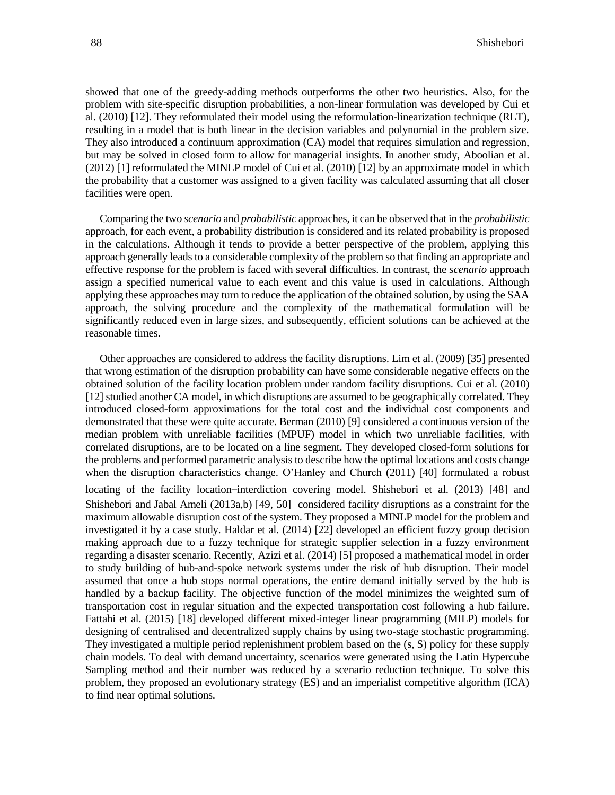showed that one of the greedy-adding methods outperforms the other two heuristics. Also, for the problem with site-specific disruption probabilities, a non-linear formulation was developed by Cui et al. (2010) [12]. They reformulated their model using the reformulation-linearization technique (RLT), resulting in a model that is both linear in the decision variables and polynomial in the problem size. They also introduced a continuum approximation (CA) model that requires simulation and regression, but may be solved in closed form to allow for managerial insights. In another study, Aboolian et al. (2012) [1] reformulated the MINLP model of Cui et al. (2010) [12] by an approximate model in which the probability that a customer was assigned to a given facility was calculated assuming that all closer facilities were open.

Comparing the two *scenario* and *probabilistic* approaches, it can be observed that in the *probabilistic* approach, for each event, a probability distribution is considered and its related probability is proposed in the calculations. Although it tends to provide a better perspective of the problem, applying this approach generally leads to a considerable complexity of the problem so that finding an appropriate and effective response for the problem is faced with several difficulties. In contrast, the *scenario* approach assign a specified numerical value to each event and this value is used in calculations. Although applying these approaches may turn to reduce the application of the obtained solution, by using the SAA approach, the solving procedure and the complexity of the mathematical formulation will be significantly reduced even in large sizes, and subsequently, efficient solutions can be achieved at the reasonable times.

Other approaches are considered to address the facility disruptions. Lim et al. (2009) [35] presented that wrong estimation of the disruption probability can have some considerable negative effects on the obtained solution of the facility location problem under random facility disruptions. Cui et al. (2010) [12] studied another CA model, in which disruptions are assumed to be geographically correlated. They introduced closed-form approximations for the total cost and the individual cost components and demonstrated that these were quite accurate. Berman (2010) [9] considered a continuous version of the median problem with unreliable facilities (MPUF) model in which two unreliable facilities, with correlated disruptions, are to be located on a line segment. They developed closed-form solutions for the problems and performed parametric analysis to describe how the optimal locations and costs change when the disruption characteristics change. O'Hanley and Church (2011) [40] formulated a robust locating of the facility location–interdiction covering model. Shishebori et al. (2013) [48] and Shishebori and Jabal Ameli (2013a,b) [49, 50] considered facility disruptions as a constraint for the maximum allowable disruption cost of the system. They proposed a MINLP model for the problem and investigated it by a case study. Haldar et al. (2014) [22] developed an efficient fuzzy group decision making approach due to a fuzzy technique for strategic supplier selection in a fuzzy environment regarding a disaster scenario. Recently, Azizi et al. (2014) [5] proposed a mathematical model in order to study building of hub-and-spoke network systems under the risk of hub disruption. Their model assumed that once a hub stops normal operations, the entire demand initially served by the hub is handled by a backup facility. The objective function of the model minimizes the weighted sum of transportation cost in regular situation and the expected transportation cost following a hub failure. Fattahi et al. (2015) [18] developed different mixed-integer linear programming (MILP) models for designing of centralised and decentralized supply chains by using two-stage stochastic programming. They investigated a multiple period replenishment problem based on the (s, S) policy for these supply chain models. To deal with demand uncertainty, scenarios were generated using the Latin Hypercube Sampling method and their number was reduced by a scenario reduction technique. To solve this problem, they proposed an evolutionary strategy (ES) and an imperialist competitive algorithm (ICA) to find near optimal solutions.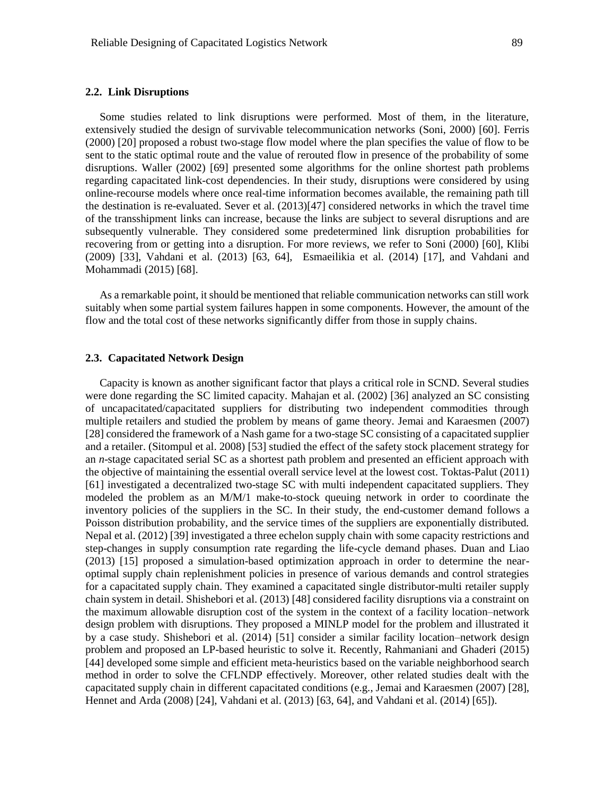#### **2.2. Link Disruptions**

Some studies related to link disruptions were performed. Most of them, in the literature, extensively studied the design of survivable telecommunication networks (Soni, 2000) [60]. Ferris (2000) [20] proposed a robust two-stage flow model where the plan specifies the value of flow to be sent to the static optimal route and the value of rerouted flow in presence of the probability of some disruptions. Waller (2002) [69] presented some algorithms for the online shortest path problems regarding capacitated link-cost dependencies. In their study, disruptions were considered by using online-recourse models where once real-time information becomes available, the remaining path till the destination is re-evaluated. Sever et al. (2013)[47] considered networks in which the travel time of the transshipment links can increase, because the links are subject to several disruptions and are subsequently vulnerable. They considered some predetermined link disruption probabilities for recovering from or getting into a disruption. For more reviews, we refer to Soni (2000) [60], Klibi (2009) [33], Vahdani et al. (2013) [63, 64], Esmaeilikia et al. (2014) [17], and Vahdani and Mohammadi (2015) [68].

As a remarkable point, it should be mentioned that reliable communication networks can still work suitably when some partial system failures happen in some components. However, the amount of the flow and the total cost of these networks significantly differ from those in supply chains.

#### **2.3. Capacitated Network Design**

Capacity is known as another significant factor that plays a critical role in SCND. Several studies were done regarding the SC limited capacity. Mahajan et al. (2002) [36] analyzed an SC consisting of uncapacitated/capacitated suppliers for distributing two independent commodities through multiple retailers and studied the problem by means of game theory. Jemai and Karaesmen (2007) [28] considered the framework of a Nash game for a two-stage SC consisting of a capacitated supplier and a retailer. (Sitompul et al. 2008) [53] studied the effect of the safety stock placement strategy for an *n*-stage capacitated serial SC as a shortest path problem and presented an efficient approach with the objective of maintaining the essential overall service level at the lowest cost. Toktas-Palut (2011) [61] investigated a decentralized two-stage SC with multi independent capacitated suppliers. They modeled the problem as an M/M/1 make-to-stock queuing network in order to coordinate the inventory policies of the suppliers in the SC. In their study, the end-customer demand follows a Poisson distribution probability, and the service times of the suppliers are exponentially distributed. Nepal et al. (2012) [39] investigated a three echelon supply chain with some capacity restrictions and step-changes in supply consumption rate regarding the life-cycle demand phases. Duan and Liao (2013) [15] proposed a simulation-based optimization approach in order to determine the nearoptimal supply chain replenishment policies in presence of various demands and control strategies for a capacitated supply chain. They examined a capacitated single distributor-multi retailer supply chain system in detail. Shishebori et al. (2013) [48] considered facility disruptions via a constraint on the maximum allowable disruption cost of the system in the context of a facility location–network design problem with disruptions. They proposed a MINLP model for the problem and illustrated it by a case study. Shishebori et al. (2014) [51] consider a similar facility location–network design problem and proposed an LP-based heuristic to solve it. Recently, Rahmaniani and Ghaderi (2015) [44] developed some simple and efficient meta-heuristics based on the variable neighborhood search method in order to solve the CFLNDP effectively. Moreover, other related studies dealt with the capacitated supply chain in different capacitated conditions (e.g., Jemai and Karaesmen (2007) [28], Hennet and Arda (2008) [24], Vahdani et al. (2013) [63, 64], and Vahdani et al. (2014) [65]).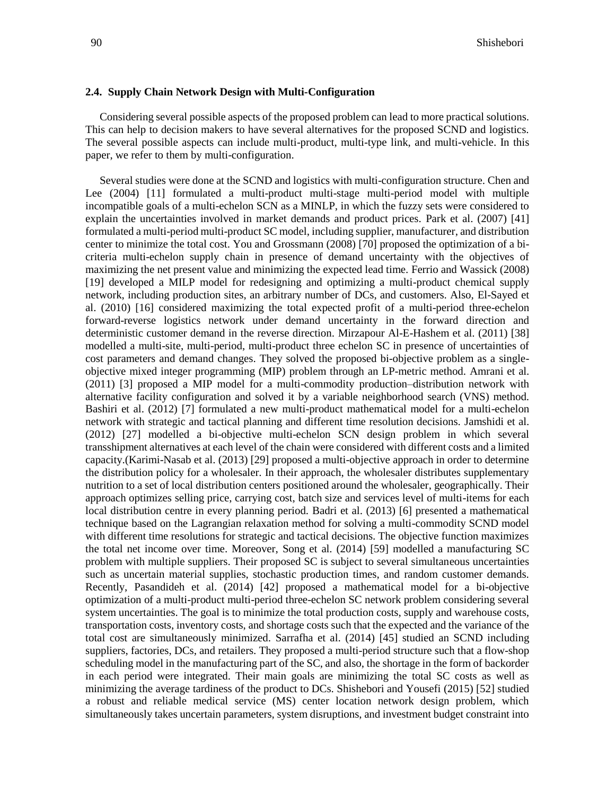#### **2.4. Supply Chain Network Design with Multi-Configuration**

Considering several possible aspects of the proposed problem can lead to more practical solutions. This can help to decision makers to have several alternatives for the proposed SCND and logistics. The several possible aspects can include multi-product, multi-type link, and multi-vehicle. In this paper, we refer to them by multi-configuration.

Several studies were done at the SCND and logistics with multi-configuration structure. Chen and Lee (2004) [11] formulated a multi-product multi-stage multi-period model with multiple incompatible goals of a multi-echelon SCN as a MINLP, in which the fuzzy sets were considered to explain the uncertainties involved in market demands and product prices. Park et al. (2007) [41] formulated a multi-period multi-product SC model, including supplier, manufacturer, and distribution center to minimize the total cost. You and Grossmann (2008) [70] proposed the optimization of a bicriteria multi-echelon supply chain in presence of demand uncertainty with the objectives of maximizing the net present value and minimizing the expected lead time. Ferrio and Wassick (2008) [19] developed a MILP model for redesigning and optimizing a multi-product chemical supply network, including production sites, an arbitrary number of DCs, and customers. Also, El-Sayed et al. (2010) [16] considered maximizing the total expected profit of a multi-period three-echelon forward-reverse logistics network under demand uncertainty in the forward direction and deterministic customer demand in the reverse direction. Mirzapour Al-E-Hashem et al. (2011) [38] modelled a multi-site, multi-period, multi-product three echelon SC in presence of uncertainties of cost parameters and demand changes. They solved the proposed bi-objective problem as a singleobjective mixed integer programming (MIP) problem through an LP-metric method. Amrani et al. (2011) [3] proposed a MIP model for a multi-commodity production–distribution network with alternative facility configuration and solved it by a variable neighborhood search (VNS) method. Bashiri et al. (2012) [7] formulated a new multi-product mathematical model for a multi-echelon network with strategic and tactical planning and different time resolution decisions. Jamshidi et al. (2012) [27] modelled a bi-objective multi-echelon SCN design problem in which several transshipment alternatives at each level of the chain were considered with different costs and a limited capacity.(Karimi-Nasab et al. (2013) [29] proposed a multi-objective approach in order to determine the distribution policy for a wholesaler. In their approach, the wholesaler distributes supplementary nutrition to a set of local distribution centers positioned around the wholesaler, geographically. Their approach optimizes selling price, carrying cost, batch size and services level of multi-items for each local distribution centre in every planning period. Badri et al. (2013) [6] presented a mathematical technique based on the Lagrangian relaxation method for solving a multi-commodity SCND model with different time resolutions for strategic and tactical decisions. The objective function maximizes the total net income over time. Moreover, Song et al. (2014) [59] modelled a manufacturing SC problem with multiple suppliers. Their proposed SC is subject to several simultaneous uncertainties such as uncertain material supplies, stochastic production times, and random customer demands. Recently, Pasandideh et al. (2014) [42] proposed a mathematical model for a bi-objective optimization of a multi-product multi-period three-echelon SC network problem considering several system uncertainties. The goal is to minimize the total production costs, supply and warehouse costs, transportation costs, inventory costs, and shortage costs such that the expected and the variance of the total cost are simultaneously minimized. Sarrafha et al. (2014) [45] studied an SCND including suppliers, factories, DCs, and retailers. They proposed a multi-period structure such that a flow-shop scheduling model in the manufacturing part of the SC, and also, the shortage in the form of backorder in each period were integrated. Their main goals are minimizing the total SC costs as well as minimizing the average tardiness of the product to DCs. Shishebori and Yousefi (2015) [52] studied a robust and reliable medical service (MS) center location network design problem, which simultaneously takes uncertain parameters, system disruptions, and investment budget constraint into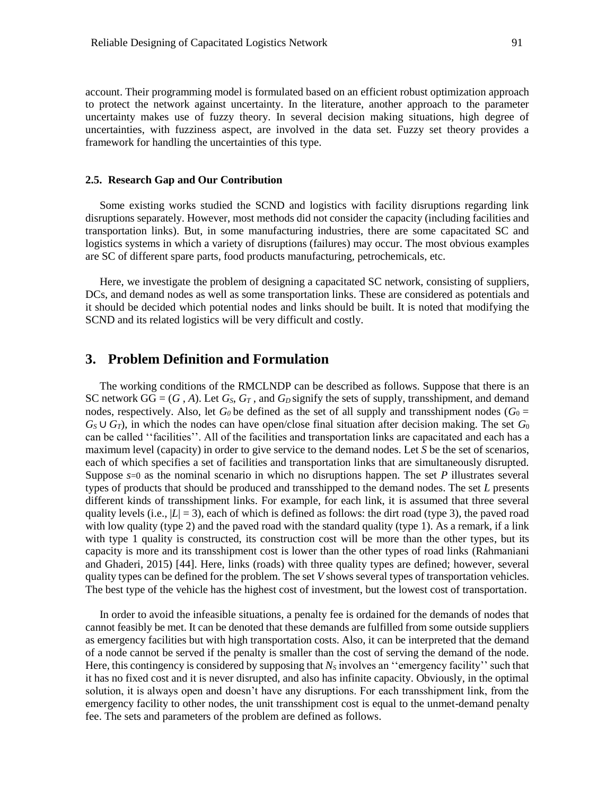account. Their programming model is formulated based on an efficient robust optimization approach to protect the network against uncertainty. In the literature, another approach to the parameter uncertainty makes use of fuzzy theory. In several decision making situations, high degree of uncertainties, with fuzziness aspect, are involved in the data set. Fuzzy set theory provides a framework for handling the uncertainties of this type.

#### **2.5. Research Gap and Our Contribution**

Some existing works studied the SCND and logistics with facility disruptions regarding link disruptions separately. However, most methods did not consider the capacity (including facilities and transportation links). But, in some manufacturing industries, there are some capacitated SC and logistics systems in which a variety of disruptions (failures) may occur. The most obvious examples are SC of different spare parts, food products manufacturing, petrochemicals, etc.

Here, we investigate the problem of designing a capacitated SC network, consisting of suppliers, DCs, and demand nodes as well as some transportation links. These are considered as potentials and it should be decided which potential nodes and links should be built. It is noted that modifying the SCND and its related logistics will be very difficult and costly.

# **3. Problem Definition and Formulation**

The working conditions of the RMCLNDP can be described as follows. Suppose that there is an SC network  $GG = (G, A)$ . Let  $G_S$ ,  $G_T$ , and  $G_D$  signify the sets of supply, transshipment, and demand nodes, respectively. Also, let  $G_0$  be defined as the set of all supply and transshipment nodes ( $G_0$  =  $G_S \cup G_T$ , in which the nodes can have open/close final situation after decision making. The set  $G_0$ can be called ''facilities''. All of the facilities and transportation links are capacitated and each has a maximum level (capacity) in order to give service to the demand nodes. Let *S* be the set of scenarios, each of which specifies a set of facilities and transportation links that are simultaneously disrupted. Suppose  $s=0$  as the nominal scenario in which no disruptions happen. The set *P* illustrates several types of products that should be produced and transshipped to the demand nodes. The set *L* presents different kinds of transshipment links. For example, for each link, it is assumed that three several quality levels (i.e.,  $|L| = 3$ ), each of which is defined as follows: the dirt road (type 3), the paved road with low quality (type 2) and the paved road with the standard quality (type 1). As a remark, if a link with type 1 quality is constructed, its construction cost will be more than the other types, but its capacity is more and its transshipment cost is lower than the other types of road links (Rahmaniani and Ghaderi, 2015) [44]. Here, links (roads) with three quality types are defined; however, several quality types can be defined for the problem. The set *V* shows several types of transportation vehicles. The best type of the vehicle has the highest cost of investment, but the lowest cost of transportation.

In order to avoid the infeasible situations, a penalty fee is ordained for the demands of nodes that cannot feasibly be met. It can be denoted that these demands are fulfilled from some outside suppliers as emergency facilities but with high transportation costs. Also, it can be interpreted that the demand of a node cannot be served if the penalty is smaller than the cost of serving the demand of the node. Here, this contingency is considered by supposing that  $N_s$  involves an "emergency facility" such that it has no fixed cost and it is never disrupted, and also has infinite capacity. Obviously, in the optimal solution, it is always open and doesn't have any disruptions. For each transshipment link, from the emergency facility to other nodes, the unit transshipment cost is equal to the unmet-demand penalty fee. The sets and parameters of the problem are defined as follows.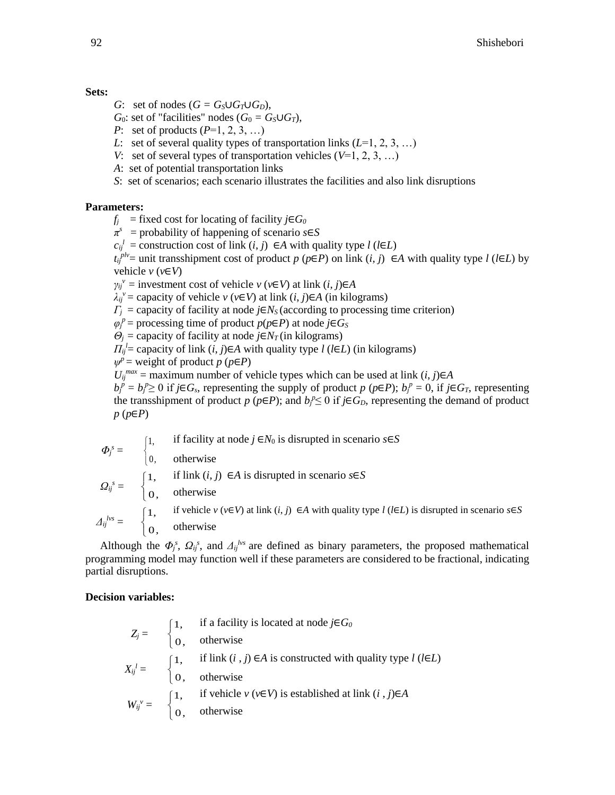### **Sets:**

- *G*: set of nodes  $(G = G_S \cup G_T \cup G_D)$ ,
- *G*<sup>0</sup>: set of "facilities" nodes (*G*<sup>0</sup> = *G*<sub>*S*</sub> $\cup$ *G*<sup>*T*</sup>),
- *P*: set of products (*P*=1, 2, 3, …)
- *L*: set of several quality types of transportation links  $(L=1, 2, 3, ...)$
- *V*: set of several types of transportation vehicles (*V*=1, 2, 3, …)
- *A*: set of potential transportation links
- *S*: set of scenarios; each scenario illustrates the facilities and also link disruptions

# **Parameters:**

- $f_i$  = fixed cost for locating of facility  $i \in G_0$
- *π s* = probability of happening of scenario *s*∈*S*
- $c_{ij}$ <sup>*l*</sup> = construction cost of link (*i*, *j*) ∈*A* with quality type *l* (*l*∈*L*)

 $t_{ij}^{plv}$  = unit transshipment cost of product *p* (*p*∈*P*) on link (*i*, *j*) ∈*A* with quality type *l* (*l*∈*L*) by vehicle *v* (*v*∈*V*)

 $\gamma_{ij}$ <sup>*v*</sup> = investment cost of vehicle *v* (*v*∈*V*) at link (*i*, *j*)∈*A* 

 $\lambda_{ij}$ <sup>*v*</sup> = capacity of vehicle *v* (*v*∈*V*) at link (*i*, *j*)∈*A* (in kilograms)

 $\Gamma$ <sup>*j*</sup> = capacity of facility at node *j*∈*N*<sub>*S*</sub> (according to processing time criterion)

 $\varphi_j^p$  = processing time of product  $p(p \in P)$  at node *j*∈*Gs* 

 $\theta_i$  = capacity of facility at node *j*∈*N<sub>T</sub>* (in kilograms)

*H*<sub>ij</sub><sup>'</sup> = capacity of link (*i*, *j*)∈*A* with quality type *l* (*l*∈*L*) (in kilograms)

$$
\psi^p = \text{weight of product } p \ (\text{p} \in \text{P})
$$

 $U_{ij}^{max}$  = maximum number of vehicle types which can be used at link  $(i, j) \in A$ 

 $b_j^p = b_j^p \ge 0$  if  $j \in G_s$ , representing the supply of product  $p (p \in P)$ ;  $b_j^p = 0$ , if  $j \in G_T$ , representing the transshipment of product  $p$  ( $p \in P$ ); and  $b_f^p \le 0$  if  $j \in G_D$ , representing the demand of product *p* (*p*∈*P*)

$$
\Phi_j^s = \begin{cases}\n1, & \text{if facility at node } j \in N_0 \text{ is disrupted in scenario } s \in S \\
0, & \text{otherwise}\n\end{cases}
$$
\n
$$
\Omega_{ij}^s = \begin{cases}\n1, & \text{if link } (i, j) \in A \text{ is disrupted in scenario } s \in S \\
0, & \text{otherwise}\n\end{cases}
$$
\n
$$
A_{ij}^{lvs} = \begin{cases}\n1, & \text{if vehicle } v (v \in V) \text{ at link } (i, j) \in A \text{ with quality type } l (l \in L) \text{ is disrupted in scenario } s \in S \\
0, & \text{otherwise}\n\end{cases}
$$

Although the  $\Phi_j^s$ ,  $\Omega_{ij}^s$ , and  $\Delta_{ij}^{lvs}$  are defined as binary parameters, the proposed mathematical programming model may function well if these parameters are considered to be fractional, indicating partial disruptions.

# **Decision variables:**

$$
Z_j = \begin{cases} 1, & \text{if a facility is located at node } j \in G_0 \\ 0, & \text{otherwise} \end{cases}
$$
  
\n
$$
X_{ij}^l = \begin{cases} 1, & \text{if link } (i,j) \in A \text{ is constructed with quality type } l \text{ (I \in } L) \\ 0, & \text{otherwise} \end{cases}
$$
  
\n
$$
W_{ij}^v = \begin{cases} 1, & \text{if vehicle } v \text{ (}v \in V \text{) is established at link } (i,j) \in A \\ 0, & \text{otherwise} \end{cases}
$$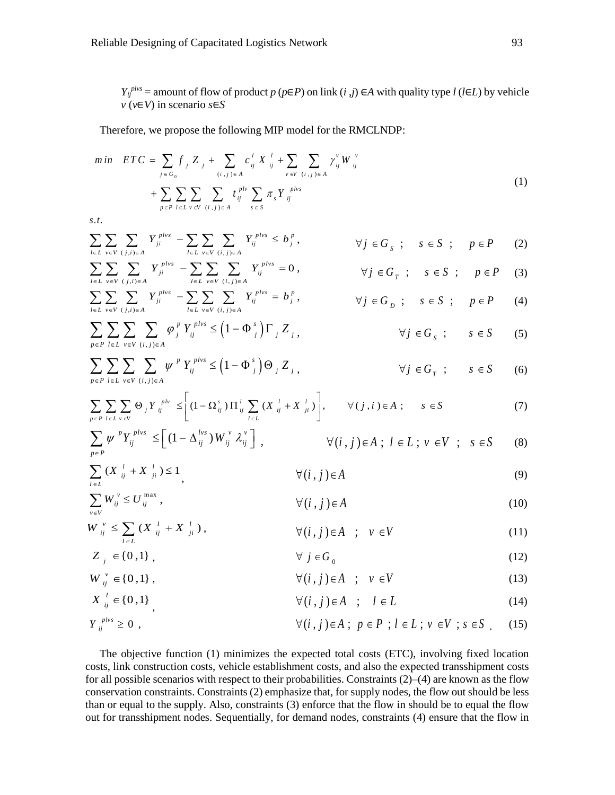*Y*<sub>ij</sub><sup>*plvs*</sup> = amount of flow of product *p* (*p*∈*P*) on link (*i* ,*j*) ∈*A* with quality type *l* (*l*∈*L*) by vehicle *v* (*v*∈*V*) in scenario *s*∈*S*

Therefore, we propose the following MIP model for the RMCLNDP:

$$
min \quad ETC = \sum_{j \in G_0} f_j Z_j + \sum_{(i,j) \in A} c_{ij}^l X_{ij}^l + \sum_{v \in V} \sum_{(i,j) \in A} \gamma_{ij}^v W_{ij}^v + \sum_{p \in P} \sum_{l \in L} \sum_{v \in V} \sum_{(i,j) \in A} t_{ij}^{plv} \sum_{s \in S} \pi_s Y_{ij}^{plvs}
$$
\n(1)

*s*.*t*.

$$
\sum_{l \in L} \sum_{v \in V} \sum_{(j,i) \in A} Y_{ji}^{phys} - \sum_{l \in L} \sum_{v \in V} \sum_{(i,j) \in A} Y_{ij}^{phys} \le b_j^p, \qquad \forall j \in G_s ; s \in S ; p \in P \qquad (2)
$$

$$
\sum_{l \in L} \sum_{v \in V} \sum_{(j,i) \in A} Y_{ji}^{phys} - \sum_{l \in L} \sum_{v \in V} \sum_{(i,j) \in A} Y_{ij}^{phys} = 0, \qquad \forall j \in G_T ; s \in S ; p \in P \quad (3)
$$

$$
\sum_{l\in L}\sum_{v\in V}\sum_{(j,i)\in A}Y_{ji}^{phys} - \sum_{l\in L}\sum_{v\in V}\sum_{(i,j)\in A}Y_{ij}^{phys} = b_j^p, \qquad \forall j\in G_D; s\in S; p\in P \qquad (4)
$$

$$
\sum_{p \in P} \sum_{l \in L} \sum_{v \in V} \sum_{(i,j) \in A} \varphi_j^p Y_{ij}^{p l v s} \le (1 - \Phi_j^s) \Gamma_j Z_j, \qquad \forall j \in G_s ; \qquad s \in S \tag{5}
$$

$$
\sum_{p \in P} \sum_{l \in L} \sum_{v \in V} \sum_{(i,j) \in A} \psi^P Y_{ij}^{p l v s} \le (1 - \Phi^s_j) \Theta_j Z_j, \qquad \forall j \in G_T ; \qquad s \in S \qquad (6)
$$

$$
\sum_{p \in P} \sum_{l \in L} \sum_{v \in V} \Theta_j Y_{ij}^{plv} \leq \left[ (1 - \Omega_{ij}^s) \prod_{ij}^l \sum_{l \in L} (X_{ij}^l + X_{ji}^l) \right], \qquad \forall (j, i) \in A ; \qquad s \in S
$$
 (7)

$$
\sum_{p \in P} \psi^{\,p} Y_{ij}^{\,plvs} \leq \left[ \left( 1 - \Delta_{ij}^{\,lvs} \right) W_{ij}^{\,v} \mathcal{X}_{ij}^{\,v} \right], \qquad \forall (i,j) \in A \; ; \; l \in L \; ; \; v \in V \; ; \; s \in S \qquad (8)
$$

$$
\sum_{i \in L} \left( X \right)_{ij}^{l} + X \left| \right|_{ji} \right) \le 1 \tag{9}
$$

$$
\sum_{v \in V} W_{ij}^{\nu} \le U_{ij}^{\max} , \qquad \qquad \forall (i,j) \in A
$$
 (10)

$$
W_{ij}^{\nu} \le \sum_{l \in L} \left( X_{ij}^{\ l} + X_{ji}^{\ l} \right), \qquad \forall (i,j) \in A \quad ; \quad \nu \in V \tag{11}
$$

$$
Z_j \in \{0,1\}, \qquad \forall j \in G_0 \tag{12}
$$

$$
W_{ij}^{\nu} \in \{0,1\}, \qquad \forall (i,j) \in A \quad ; \quad \nu \in V \tag{13}
$$

$$
X_{ij}^l \in \{0,1\} \qquad \qquad \forall (i,j) \in A \quad ; \quad l \in L \tag{14}
$$

$$
Y_{ij}^{phys} \ge 0 , \qquad \qquad \forall (i,j) \in A ; p \in P ; l \in L ; v \in V ; s \in S . \tag{15}
$$

The objective function (1) minimizes the expected total costs (ETC), involving fixed location costs, link construction costs, vehicle establishment costs, and also the expected transshipment costs for all possible scenarios with respect to their probabilities. Constraints (2)–(4) are known as the flow conservation constraints. Constraints (2) emphasize that, for supply nodes, the flow out should be less than or equal to the supply. Also, constraints (3) enforce that the flow in should be to equal the flow out for transshipment nodes. Sequentially, for demand nodes, constraints (4) ensure that the flow in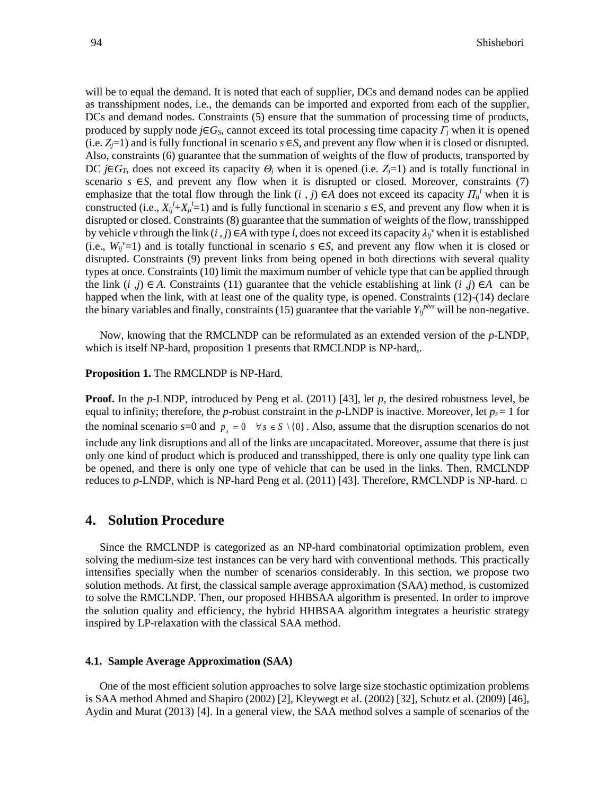will be to equal the demand. It is noted that each of supplier, DCs and demand nodes can be applied as transshipment nodes, i.e., the demands can be imported and exported from each of the supplier, DCs and demand nodes. Constraints (5) ensure that the summation of processing time of products, produced by supply node  $j \in G_S$ , cannot exceed its total processing time capacity  $\Gamma_i$  when it is opened (i.e.  $Z_j$ =1) and is fully functional in scenario  $s \in S$ , and prevent any flow when it is closed or disrupted. Also, constraints (6) guarantee that the summation of weights of the flow of products, transported by DC *j*∈*G*<sub>*T*</sub>, does not exceed its capacity *Θ*<sub>*j*</sub> when it is opened (i.e. *Z<sub>i</sub>*=1) and is totally functional in scenario  $s \in S$ , and prevent any flow when it is disrupted or closed. Moreover, constraints (7) emphasize that the total flow through the link  $(i, j) \in A$  does not exceed its capacity  $\Pi_{ij}^l$  when it is constructed (i.e.,  $X_i^l + X_i^l = 1$ ) and is fully functional in scenario  $s \in S$ , and prevent any flow when it is disrupted or closed. Constraints (8) guarantee that the summation of weights of the flow, transshipped by vehicle *v* through the link  $(i, j) \in A$  with type *l*, does not exceed its capacity  $\lambda_{ij}$ <sup>*v*</sup> when it is established (i.e.,  $W_{ij}^{\nu}=1$ ) and is totally functional in scenario *s*  $\in$ *S*, and prevent any flow when it is closed or disrupted. Constraints (9) prevent links from being opened in both directions with several quality types at once. Constraints (10) limit the maximum number of vehicle type that can be applied through the link (*i* ,*j*) ∈ *A*. Constraints (11) guarantee that the vehicle establishing at link (*i* ,*j*) ∈ *A* can be happed when the link, with at least one of the quality type, is opened. Constraints (12)-(14) declare the binary variables and finally, constraints (15) guarantee that the variable  $Y_i^{phys}$  will be non-negative.

Now, knowing that the RMCLNDP can be reformulated as an extended version of the *p*-LNDP, which is itself NP-hard, proposition 1 presents that RMCLNDP is NP-hard,.

#### **Proposition 1.** The RMCLNDP is NP-Hard.

**Proof.** In the *p*-LNDP, introduced by Peng et al. (2011) [43], let *p*, the desired robustness level, be equal to infinity; therefore, the *p*-robust constraint in the *p*-LNDP is inactive. Moreover, let  $p_s = 1$  for the nominal scenario  $s=0$  and  $p_s = 0 \quad \forall s \in S \setminus \{0\}$ . Also, assume that the disruption scenarios do not include any link disruptions and all of the links are uncapacitated. Moreover, assume that there is just only one kind of product which is produced and transshipped, there is only one quality type link can be opened, and there is only one type of vehicle that can be used in the links. Then, RMCLNDP reduces to *p*-LNDP, which is NP-hard Peng et al. (2011) [43]. Therefore, RMCLNDP is NP-hard. □

# **4. Solution Procedure**

Since the RMCLNDP is categorized as an NP-hard combinatorial optimization problem, even solving the medium-size test instances can be very hard with conventional methods. This practically intensifies specially when the number of scenarios considerably. In this section, we propose two solution methods. At first, the classical sample average approximation (SAA) method, is customized to solve the RMCLNDP. Then, our proposed HHBSAA algorithm is presented. In order to improve the solution quality and efficiency, the hybrid HHBSAA algorithm integrates a heuristic strategy inspired by LP-relaxation with the classical SAA method.

#### **4.1. Sample Average Approximation (SAA)**

One of the most efficient solution approaches to solve large size stochastic optimization problems is SAA method Ahmed and Shapiro (2002) [2], Kleywegt et al. (2002) [32], Schutz et al. (2009) [46], Aydin and Murat (2013) [4]. In a general view, the SAA method solves a sample of scenarios of the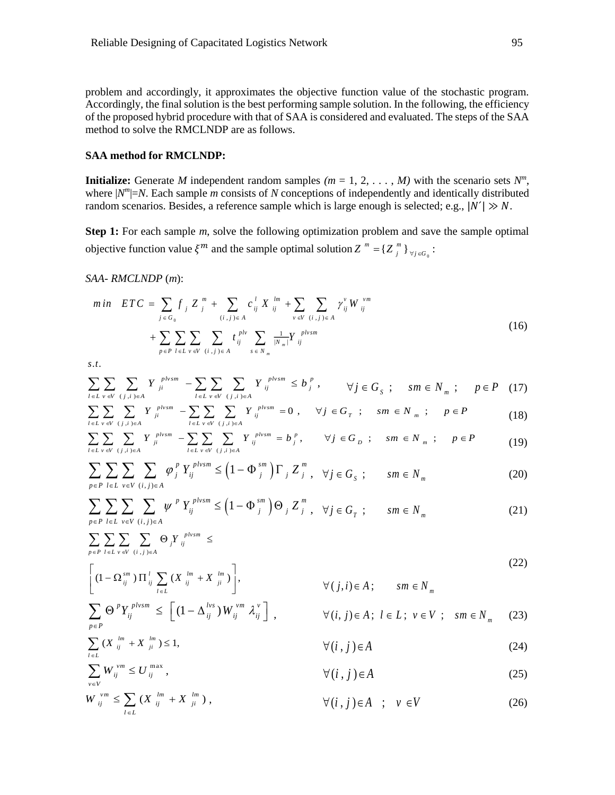problem and accordingly, it approximates the objective function value of the stochastic program. Accordingly, the final solution is the best performing sample solution. In the following, the efficiency of the proposed hybrid procedure with that of SAA is considered and evaluated. The steps of the SAA method to solve the RMCLNDP are as follows.

#### **SAA method for RMCLNDP:**

**Initialize:** Generate *M* independent random samples  $(m = 1, 2, \ldots, M)$  with the scenario sets  $N<sup>m</sup>$ , where  $|N^m|=N$ . Each sample *m* consists of *N* conceptions of independently and identically distributed random scenarios. Besides, a reference sample which is large enough is selected; e.g.,  $|N'| \gg N$ .

**Step 1:** For each sample *m*, solve the following optimization problem and save the sample optimal objective function value  $\xi^m$  and the sample optimal solution  $Z^m = \{Z^m_j\}_{\forall j \in G_0}$ :

*SAA- RMCLNDP* (*m*):

$$
min \quad ETC = \sum_{j \in G_0} f_j Z_j^m + \sum_{(i,j) \in A} c_{ij}^l X_{ij}^{lm} + \sum_{v \in V} \sum_{(i,j) \in A} \gamma_{ij}^v W_{ij}^{vm} + \sum_{p \in P} \sum_{l \in L} \sum_{v \in V} \sum_{(i,j) \in A} t_{ij}^{plv} \sum_{s \in N_m} \frac{1}{|N_m|} Y_{ij}^{plvsm}
$$
\n(16)

*s*.*t*.

$$
\sum_{l \in L} \sum_{v \in V} \sum_{(j,i) \in A} Y_{ji}^{plvsm} - \sum_{l \in L} \sum_{v \in V} \sum_{(j,i) \in A} Y_{ij}^{plvsm} \le b_j^p, \qquad \forall j \in G_s ; \quad sm \in N_m ; \quad p \in P \quad (17)
$$

$$
\sum_{l\in L}\sum_{v\in V}\sum_{(j,i)\in A}Y_{ji}^{physm} - \sum_{l\in L}\sum_{v\in V}\sum_{(j,i)\in A}Y_{ij}^{physm} = 0, \quad \forall j\in G_T ; \quad sm\in N_m ; \quad p\in P
$$
\n(18)

$$
\sum_{l\in L}\sum_{v\in V}\sum_{(j,i)\in A}Y_{ji}^{physm} - \sum_{l\in L}\sum_{v\in V}\sum_{(j,i)\in A}Y_{ij}^{physm} = b_j^p, \qquad \forall j\in G_D; \qquad sm\in N_m; \qquad p\in P
$$
 (19)

$$
\sum_{p \in P} \sum_{l \in L} \sum_{v \in V} \sum_{(i,j) \in A} \varphi_j^p Y_{ij}^{plvsm} \le \left(1 - \Phi_j^{sm}\right) \Gamma_j Z_j^m, \quad \forall j \in G_S ; \qquad sm \in N_m \tag{20}
$$

$$
\sum_{p \in P} \sum_{l \in L} \sum_{v \in V} \sum_{(i,j) \in A} \psi^P Y_{ij}^{plvsm} \le (1 - \Phi_{j}^{sm}) \Theta_j Z_j^m , \quad \forall j \in G_T ; \qquad sm \in N_m
$$
 (21)

*plv sm j ij*  $p \in P$   $l \in L$   $v \in V$   $(i, j) \in A$ *Y* E*r i* el vevillis  $\sum\, \sum\, \sum\, \sum\, \sum\, \Theta \, _{j}Y \, _{ij}^{\quad \ \ \, plvsm} \,\, \leq$ 

$$
\left[ (1 - \Omega_{ij}^{sm}) \Pi_{ij}^l \sum_{l \in L} (X_{ij}^{lm} + X_{ji}^{lm}) \right],
$$
\n
$$
= 0 \text{ when } \Gamma_{ij} = \sum_{l \in L} (X_{ij}^{lm} + X_{ji}^{lm})
$$
\n
$$
\forall (j, i) \in A; \qquad sm \in N_m
$$
\n
$$
(22)
$$

$$
\sum_{p \in P} \Theta^p Y_{ij}^{plvsm} \le \left[ \left( 1 - \Delta_{ij}^{lvs} \right) W_{ij}^{vm} \lambda_{ij}^v \right], \qquad \forall (i, j) \in A; \ l \in L; \ v \in V; \ sm \in N_m \tag{23}
$$

$$
\sum_{i \in L} \left( X_{ij}^{lm} + X_{ji}^{lm} \right) \le 1, \qquad \forall (i,j) \in A
$$
\n(24)

$$
\sum_{v \in V} W_{ij}^{vm} \le U_{ij}^{\max}, \qquad \forall (i,j) \in A
$$
\n
$$
(25)
$$

$$
W_{ij}^{vm} \le \sum_{l \in L} (X_{ij}^{lm} + X_{ji}^{lm}), \qquad \qquad \forall (i,j) \in A \; ; \; v \in V \tag{26}
$$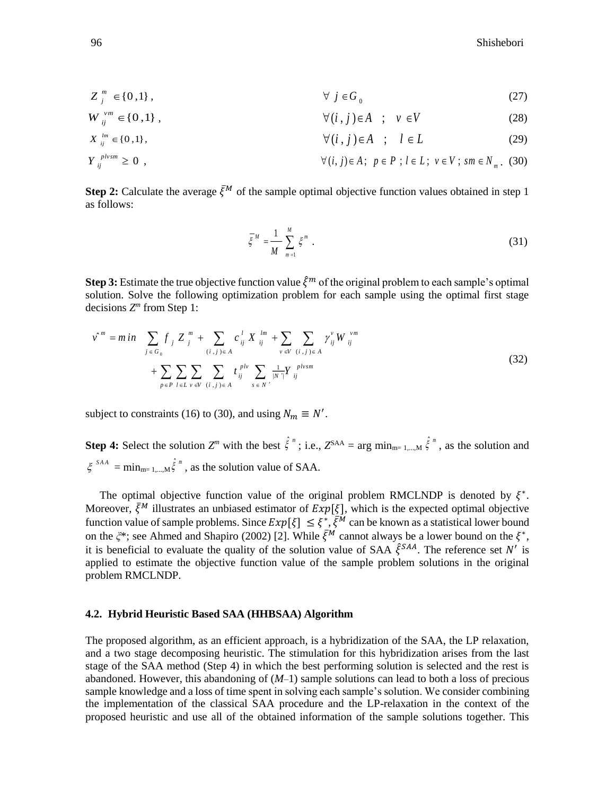$$
Z_j^m \in \{0,1\}, \qquad \forall j \in G_0 \tag{27}
$$

$$
W_{ij}^{\nu m} \in \{0,1\}, \qquad \forall (i,j) \in A \quad ; \quad \nu \in V \tag{28}
$$

$$
X_{ij}^{lm} \in \{0,1\}, \qquad \qquad \forall (i,j) \in A \quad ; \quad l \in L \tag{29}
$$

$$
Y_{ij}^{plvsm} \ge 0 , \qquad \forall (i, j) \in A; \ p \in P; l \in L; \ v \in V; sm \in N_m. (30)
$$

**Step 2:** Calculate the average  $\bar{\xi}^M$  of the sample optimal objective function values obtained in step 1 as follows:

$$
\overline{\xi}^M = \frac{1}{M} \sum_{m=1}^M \xi^m \tag{31}
$$

**Step 3:** Estimate the true objective function value  $\hat{\xi}^m$  of the original problem to each sample's optimal solution. Solve the following optimization problem for each sample using the optimal first stage decisions *Z m* from Step 1:

$$
v^{m} = m \, in \quad \sum_{j \in G_{0}} f_{j} Z_{j}^{m} + \sum_{(i,j) \in A} c_{ij}^{l} X_{ij}^{lm} + \sum_{v \in V} \sum_{(i,j) \in A} \gamma_{ij}^{v} W_{ij}^{vm} + \sum_{v \in V} \sum_{(i,j) \in A} \sum_{v \in V} \sum_{i \in I, v \in V} t_{ij}^{pl} \sum_{s \in N'} \frac{1}{|N|} Y_{ij}^{plvsm}
$$
\n(32)

subject to constraints (16) to (30), and using  $N_m \equiv N'$ .

**Step 4:** Select the solution  $Z^m$  with the best  $\hat{\xi}^m$ ; i.e.,  $Z^{SAA} = \arg \min_{m=1,\dots,M} \hat{\xi}^m$ , as the solution and  $\xi^{SAA} = \min_{m=1,...,M} \hat{\xi}^m$ , as the solution value of SAA.

The optimal objective function value of the original problem RMCLNDP is denoted by  $\xi^*$ . Moreover,  $\bar{\xi}^M$  illustrates an unbiased estimator of  $Exp[\xi]$ , which is the expected optimal objective function value of sample problems. Since  $Exp[\xi] \leq \xi^*, \overline{\xi}^M$  can be known as a statistical lower bound on the  $\xi^*$ ; see Ahmed and Shapiro (2002) [2]. While  $\bar{\xi}^M$  cannot always be a lower bound on the  $\xi^*$ , it is beneficial to evaluate the quality of the solution value of SAA  $\xi^{SAA}$ . The reference set N' is applied to estimate the objective function value of the sample problem solutions in the original problem RMCLNDP.

#### **4.2. Hybrid Heuristic Based SAA (HHBSAA) Algorithm**

The proposed algorithm, as an efficient approach, is a hybridization of the SAA, the LP relaxation, and a two stage decomposing heuristic. The stimulation for this hybridization arises from the last stage of the SAA method (Step 4) in which the best performing solution is selected and the rest is abandoned. However, this abandoning of (*M*–1) sample solutions can lead to both a loss of precious sample knowledge and a loss of time spent in solving each sample's solution. We consider combining the implementation of the classical SAA procedure and the LP-relaxation in the context of the proposed heuristic and use all of the obtained information of the sample solutions together. This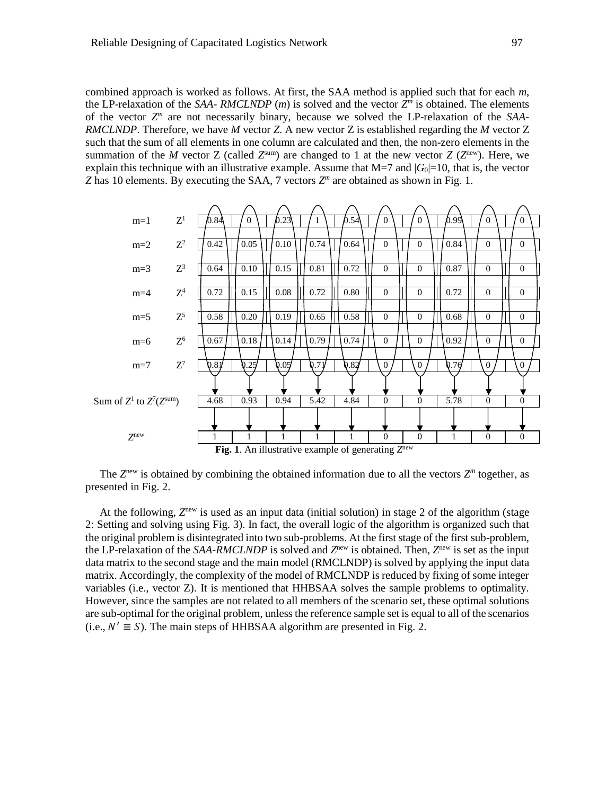combined approach is worked as follows. At first, the SAA method is applied such that for each *m*, the LP-relaxation of the *SAA-RMCLNDP* (*m*) is solved and the vector  $Z<sup>m</sup>$  is obtained. The elements of the vector *Z m* are not necessarily binary, because we solved the LP-relaxation of the *SAA-RMCLNDP*. Therefore, we have *M* vector *Z*. A new vector Z is established regarding the *M* vector Z such that the sum of all elements in one column are calculated and then, the non-zero elements in the summation of the *M* vector *Z* (called  $Z^{\text{sum}}$ ) are changed to 1 at the new vector *Z* ( $Z^{\text{new}}$ ). Here, we explain this technique with an illustrative example. Assume that  $M=7$  and  $|G_0|=10$ , that is, the vector *Z* has 10 elements. By executing the SAA, 7 vectors  $Z^m$  are obtained as shown in Fig. 1.



The  $Z^{\text{new}}$  is obtained by combining the obtained information due to all the vectors  $Z^{\text{max}}$  together, as presented in Fig. 2.

At the following, Z<sup>new</sup> is used as an input data (initial solution) in stage 2 of the algorithm (stage 2: Setting and solving using Fig. 3). In fact, the overall logic of the algorithm is organized such that the original problem is disintegrated into two sub-problems. At the first stage of the first sub-problem, the LP-relaxation of the *SAA-RMCLNDP* is solved and  $Z^{new}$  is obtained. Then,  $Z^{new}$  is set as the input data matrix to the second stage and the main model (RMCLNDP) is solved by applying the input data matrix. Accordingly, the complexity of the model of RMCLNDP is reduced by fixing of some integer variables (i.e., vector Z). It is mentioned that HHBSAA solves the sample problems to optimality. However, since the samples are not related to all members of the scenario set, these optimal solutions are sub-optimal for the original problem, unless the reference sample set is equal to all of the scenarios (i.e.,  $N' \equiv S$ ). The main steps of HHBSAA algorithm are presented in Fig. 2.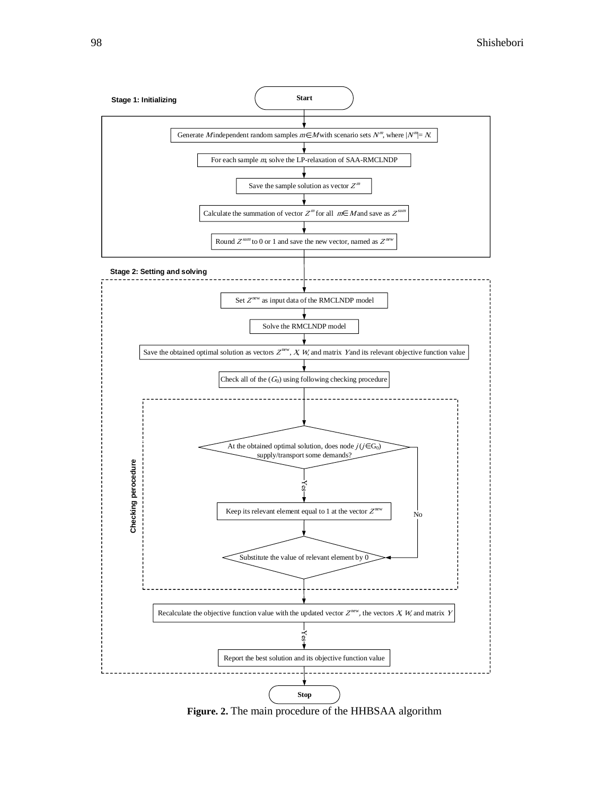

**Figure. 2.** The main procedure of the HHBSAA algorithm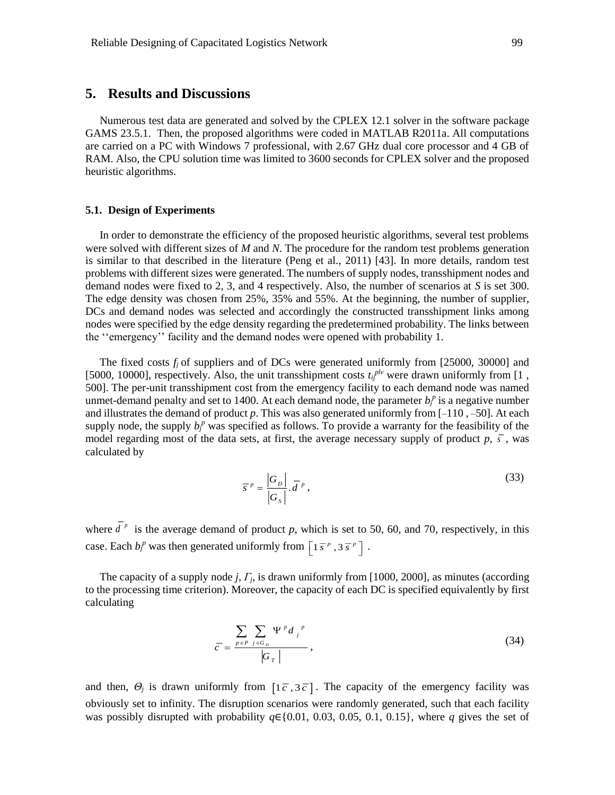### **5. Results and Discussions**

Numerous test data are generated and solved by the CPLEX 12.1 solver in the software package GAMS 23.5.1. Then, the proposed algorithms were coded in MATLAB R2011a. All computations are carried on a PC with Windows 7 professional, with 2.67 GHz dual core processor and 4 GB of RAM. Also, the CPU solution time was limited to 3600 seconds for CPLEX solver and the proposed heuristic algorithms.

#### **5.1. Design of Experiments**

In order to demonstrate the efficiency of the proposed heuristic algorithms, several test problems were solved with different sizes of *M* and *N*. The procedure for the random test problems generation is similar to that described in the literature (Peng et al., 2011) [43]. In more details, random test problems with different sizes were generated. The numbers of supply nodes, transshipment nodes and demand nodes were fixed to 2, 3, and 4 respectively. Also, the number of scenarios at *S* is set 300. The edge density was chosen from 25%, 35% and 55%. At the beginning, the number of supplier, DCs and demand nodes was selected and accordingly the constructed transshipment links among nodes were specified by the edge density regarding the predetermined probability. The links between the ''emergency'' facility and the demand nodes were opened with probability 1.

The fixed costs  $f_i$  of suppliers and of DCs were generated uniformly from [25000, 30000] and [5000, 10000], respectively. Also, the unit transshipment costs  $t_{ij}^{plv}$  were drawn uniformly from [1, 500]. The per-unit transshipment cost from the emergency facility to each demand node was named unmet-demand penalty and set to 1400. At each demand node, the parameter  $b_f^p$  is a negative number and illustrates the demand of product *p*. This was also generated uniformly from [–110 , –50]. At each supply node, the supply  $b_j^p$  was specified as follows. To provide a warranty for the feasibility of the model regarding most of the data sets, at first, the average necessary supply of product  $p, \bar{s}$ , was calculated by

$$
\overline{s}^p = \frac{|G_p|}{|G_s|} \cdot \overline{d}^p,
$$
\n(33)

where  $d^p$  is the average demand of product p, which is set to 50, 60, and 70, respectively, in this case. Each  $b_j^p$  was then generated uniformly from  $\left[1 \overline{s}^p, 3 \overline{s}^p\right]$ .

The capacity of a supply node *j*, *Γj*, is drawn uniformly from [1000, 2000], as minutes (according to the processing time criterion). Moreover, the capacity of each DC is specified equivalently by first calculating

$$
\overline{c} = \frac{\sum_{p \in P} \sum_{j \in G_D} \Psi^p d_j^p}{|G_T|},
$$
\n(34)

and then,  $\Theta_j$  is drawn uniformly from  $\left[1\overline{c}, 3\overline{c}\right]$ . The capacity of the emergency facility was obviously set to infinity. The disruption scenarios were randomly generated, such that each facility was possibly disrupted with probability *q*∈{0.01, 0.03, 0.05, 0.1, 0.15}, where *q* gives the set of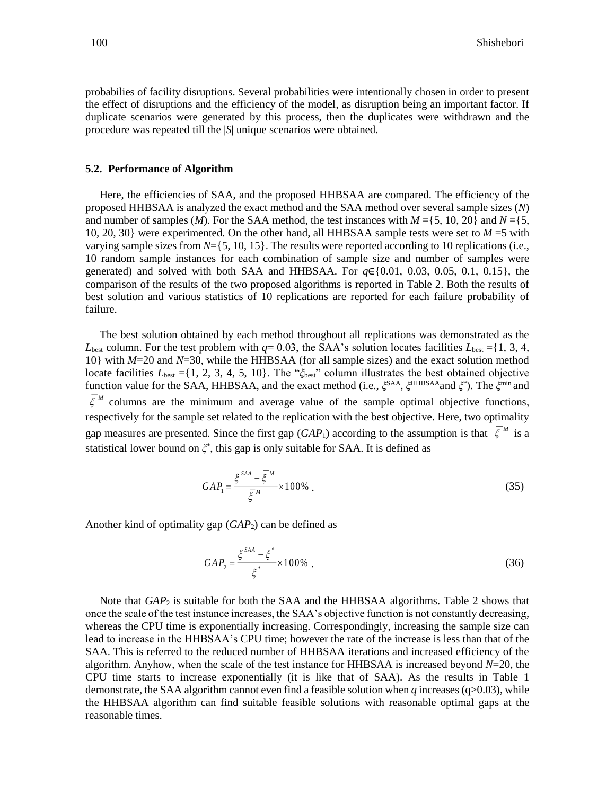probabilies of facility disruptions. Several probabilities were intentionally chosen in order to present the effect of disruptions and the efficiency of the model, as disruption being an important factor. If duplicate scenarios were generated by this process, then the duplicates were withdrawn and the procedure was repeated till the |*S*| unique scenarios were obtained.

#### **5.2. Performance of Algorithm**

Here, the efficiencies of SAA, and the proposed HHBSAA are compared. The efficiency of the proposed HHBSAA is analyzed the exact method and the SAA method over several sample sizes (*N*) and number of samples (*M*). For the SAA method, the test instances with  $M = \{5, 10, 20\}$  and  $N = \{5, 10, 20\}$ 10, 20, 30} were experimented. On the other hand, all HHBSAA sample tests were set to *M* =5 with varying sample sizes from *N*={5, 10, 15}. The results were reported according to 10 replications (i.e., 10 random sample instances for each combination of sample size and number of samples were generated) and solved with both SAA and HHBSAA. For *q*∈{0.01, 0.03, 0.05, 0.1, 0.15}, the comparison of the results of the two proposed algorithms is reported in Table 2. Both the results of best solution and various statistics of 10 replications are reported for each failure probability of failure.

The best solution obtained by each method throughout all replications was demonstrated as the  $L_{best}$  column. For the test problem with  $q=0.03$ , the SAA's solution locates facilities  $L_{best} = \{1, 3, 4,$ 10} with *M*=20 and *N*=30, while the HHBSAA (for all sample sizes) and the exact solution method locate facilities *L*best ={1, 2, 3, 4, 5, 10}. The "*ξ*best" column illustrates the best obtained objective function value for the SAA, HHBSAA, and the exact method (i.e., *ξ*<sup>SAA</sup>, *ξ*<sup>HHBSAA</sup>and *ξ*<sup>\*</sup>). The *ξ*<sup>min</sup> and  $\xi^{M}$  columns are the minimum and average value of the sample optimal objective functions, respectively for the sample set related to the replication with the best objective. Here, two optimality gap measures are presented. Since the first gap  $(GAP_1)$  according to the assumption is that  $\xi^M$  is a statistical lower bound on *ξ* \* , this gap is only suitable for SAA. It is defined as

$$
GAP_1 = \frac{\xi^{SAA} - \overline{\xi}^M}{\overline{\xi}^M} \times 100\% \tag{35}
$$

Another kind of optimality gap (*GAP*2) can be defined as

$$
GAP_2 = \frac{\xi^{SAA} - \xi^*}{\xi^*} \times 100\% \tag{36}
$$

Note that *GAP*<sup>2</sup> is suitable for both the SAA and the HHBSAA algorithms. Table 2 shows that once the scale of the test instance increases, the SAA's objective function is not constantly decreasing, whereas the CPU time is exponentially increasing. Correspondingly, increasing the sample size can lead to increase in the HHBSAA's CPU time; however the rate of the increase is less than that of the SAA. This is referred to the reduced number of HHBSAA iterations and increased efficiency of the algorithm. Anyhow, when the scale of the test instance for HHBSAA is increased beyond *N*=20, the CPU time starts to increase exponentially (it is like that of SAA). As the results in Table 1 demonstrate, the SAA algorithm cannot even find a feasible solution when *q* increases (q>0.03), while the HHBSAA algorithm can find suitable feasible solutions with reasonable optimal gaps at the reasonable times.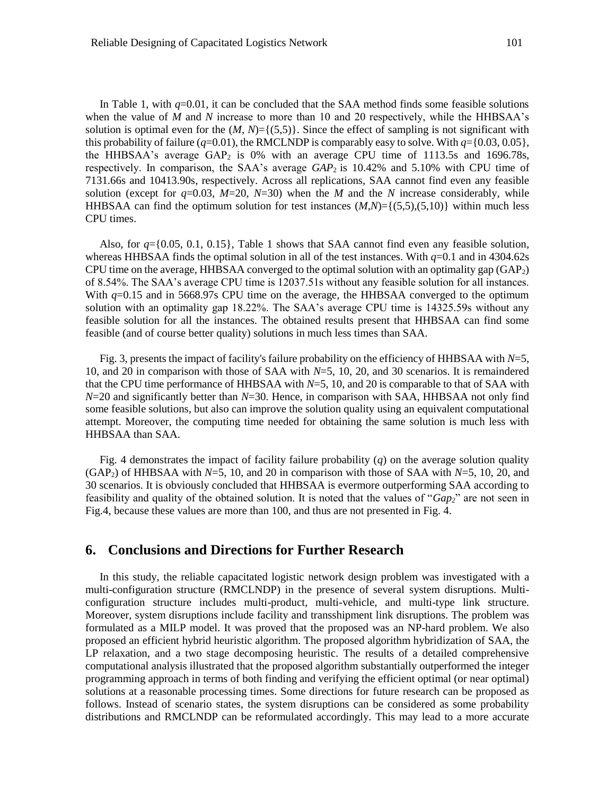In Table 1, with  $q=0.01$ , it can be concluded that the SAA method finds some feasible solutions when the value of *M* and *N* increase to more than 10 and 20 respectively, while the HHBSAA's solution is optimal even for the  $(M, N) = \{(5,5)\}\.$  Since the effect of sampling is not significant with this probability of failure ( $q=0.01$ ), the RMCLNDP is comparably easy to solve. With  $q=\{0.03, 0.05\}$ , the HHBSAA's average  $GAP<sub>2</sub>$  is 0% with an average CPU time of 1113.5s and 1696.78s, respectively. In comparison, the SAA's average *GAP*2 is 10.42% and 5.10% with CPU time of 7131.66s and 10413.90s, respectively. Across all replications, SAA cannot find even any feasible solution (except for  $q=0.03$ ,  $M=20$ ,  $N=30$ ) when the *M* and the *N* increase considerably, while HHBSAA can find the optimum solution for test instances  $(M,N) = \{(5,5), (5,10)\}\$  within much less CPU times.

Also, for *q*={0.05, 0.1, 0.15}, Table 1 shows that SAA cannot find even any feasible solution, whereas HHBSAA finds the optimal solution in all of the test instances. With  $q=0.1$  and in 4304.62s CPU time on the average, HHBSAA converged to the optimal solution with an optimality gap  $(GAP<sub>2</sub>)$ of 8.54%. The SAA's average CPU time is 12037.51s without any feasible solution for all instances. With  $q=0.15$  and in 5668.97s CPU time on the average, the HHBSAA converged to the optimum solution with an optimality gap 18.22%. The SAA's average CPU time is 14325.59s without any feasible solution for all the instances. The obtained results present that HHBSAA can find some feasible (and of course better quality) solutions in much less times than SAA.

Fig. 3, presents the impact of facility's failure probability on the efficiency of HHBSAA with *N*=5, 10, and 20 in comparison with those of SAA with *N*=5, 10, 20, and 30 scenarios. It is remaindered that the CPU time performance of HHBSAA with *N*=5, 10, and 20 is comparable to that of SAA with *N*=20 and significantly better than *N*=30. Hence, in comparison with SAA, HHBSAA not only find some feasible solutions, but also can improve the solution quality using an equivalent computational attempt. Moreover, the computing time needed for obtaining the same solution is much less with HHBSAA than SAA.

Fig. 4 demonstrates the impact of facility failure probability (*q*) on the average solution quality (GAP2) of HHBSAA with *N*=5, 10, and 20 in comparison with those of SAA with *N*=5, 10, 20, and 30 scenarios. It is obviously concluded that HHBSAA is evermore outperforming SAA according to feasibility and quality of the obtained solution. It is noted that the values of "*Gap2*" are not seen in Fig.4, because these values are more than 100, and thus are not presented in Fig. 4.

### **6. Conclusions and Directions for Further Research**

In this study, the reliable capacitated logistic network design problem was investigated with a multi-configuration structure (RMCLNDP) in the presence of several system disruptions. Multiconfiguration structure includes multi-product, multi-vehicle, and multi-type link structure. Moreover, system disruptions include facility and transshipment link disruptions. The problem was formulated as a MILP model. It was proved that the proposed was an NP-hard problem. We also proposed an efficient hybrid heuristic algorithm. The proposed algorithm hybridization of SAA, the LP relaxation, and a two stage decomposing heuristic. The results of a detailed comprehensive computational analysis illustrated that the proposed algorithm substantially outperformed the integer programming approach in terms of both finding and verifying the efficient optimal (or near optimal) solutions at a reasonable processing times. Some directions for future research can be proposed as follows. Instead of scenario states, the system disruptions can be considered as some probability distributions and RMCLNDP can be reformulated accordingly. This may lead to a more accurate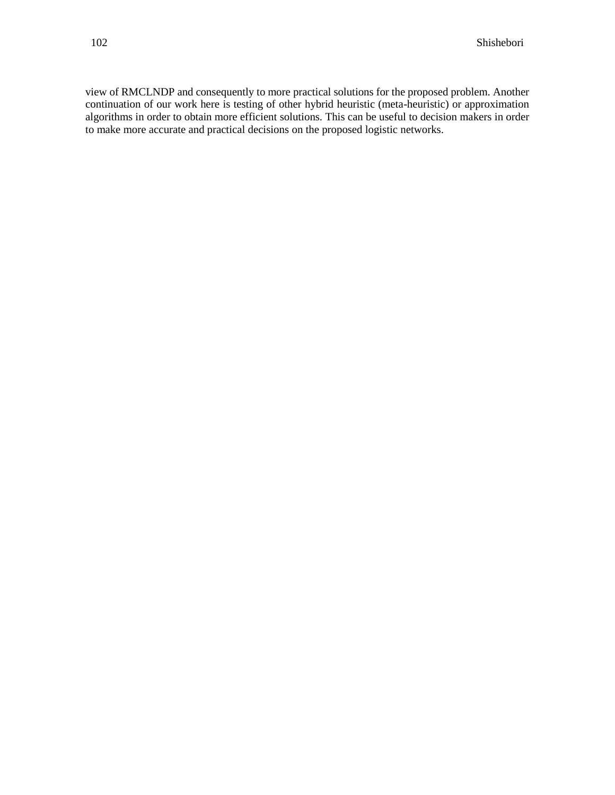view of RMCLNDP and consequently to more practical solutions for the proposed problem. Another continuation of our work here is testing of other hybrid heuristic (meta-heuristic) or approximation algorithms in order to obtain more efficient solutions. This can be useful to decision makers in order to make more accurate and practical decisions on the proposed logistic networks.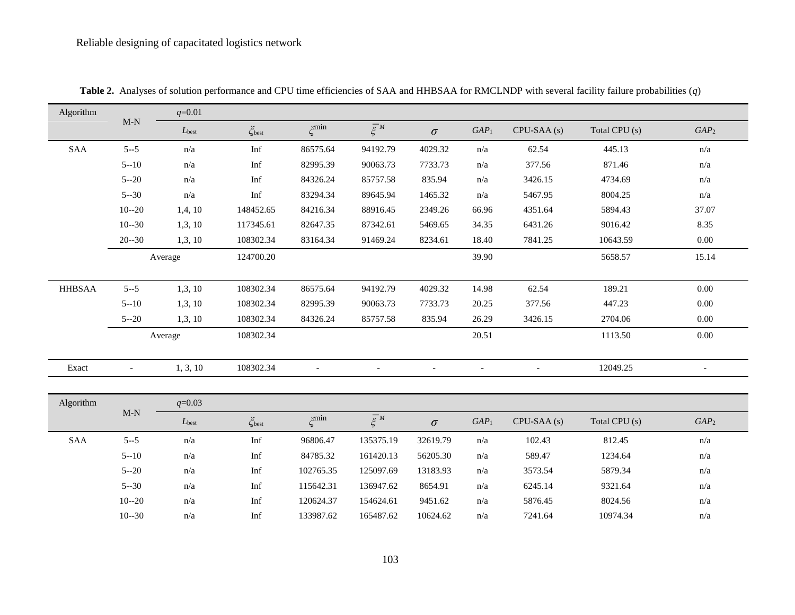| Algorithm     | $\ensuremath{\mathsf{M\text{-}N}}$ | $q=0.01$                |                       |                          |                          |                          |                          |                          |                 |                          |
|---------------|------------------------------------|-------------------------|-----------------------|--------------------------|--------------------------|--------------------------|--------------------------|--------------------------|-----------------|--------------------------|
|               |                                    | $L_{best}$              | $\zeta_{\text{best}}$ | $\zeta^{\min}$           | $\overline{\xi}^M$       | $\sigma$                 | GAP <sub>1</sub>         | $CPU-SAA(s)$             | Total CPU $(s)$ | GAP <sub>2</sub>         |
| <b>SAA</b>    | $5 - 5$                            | $\mathrm{n}/\mathrm{a}$ | $\mathop{\rm Inf}$    | 86575.64                 | 94192.79                 | 4029.32                  | $\mathrm{n}/\mathrm{a}$  | 62.54                    | 445.13          | n/a                      |
|               | $5 - 10$                           | n/a                     | Inf                   | 82995.39                 | 90063.73                 | 7733.73                  | n/a                      | 377.56                   | 871.46          | n/a                      |
|               | $5 - 20$                           | n/a                     | Inf                   | 84326.24                 | 85757.58                 | 835.94                   | $\mathrm{n}/\mathrm{a}$  | 3426.15                  | 4734.69         | n/a                      |
|               | $5 - 30$                           | $\mathrm{n}/\mathrm{a}$ | Inf                   | 83294.34                 | 89645.94                 | 1465.32                  | $\mathrm{n}/\mathrm{a}$  | 5467.95                  | 8004.25         | n/a                      |
|               | $10 - 20$                          | 1,4,10                  | 148452.65             | 84216.34                 | 88916.45                 | 2349.26                  | 66.96                    | 4351.64                  | 5894.43         | 37.07                    |
|               | $10 - 30$                          | 1,3,10                  | 117345.61             | 82647.35                 | 87342.61                 | 5469.65                  | 34.35                    | 6431.26                  | 9016.42         | 8.35                     |
|               | $20 - 30$                          | 1,3,10                  | 108302.34             | 83164.34                 | 91469.24                 | 8234.61                  | 18.40                    | 7841.25                  | 10643.59        | 0.00                     |
|               |                                    | Average                 | 124700.20             |                          |                          |                          | 39.90                    |                          | 5658.57         | 15.14                    |
|               |                                    |                         |                       |                          |                          |                          |                          |                          |                 |                          |
| <b>HHBSAA</b> | $5 - 5$                            | 1,3,10                  | 108302.34             | 86575.64                 | 94192.79                 | 4029.32                  | 14.98                    | 62.54                    | 189.21          | $0.00\,$                 |
|               | $5 - 10$                           | 1,3,10                  | 108302.34             | 82995.39                 | 90063.73                 | 7733.73                  | 20.25                    | 377.56                   | 447.23          | $0.00\,$                 |
|               | $5 - 20$                           | 1,3,10                  | 108302.34             | 84326.24                 | 85757.58                 | 835.94                   | 26.29                    | 3426.15                  | 2704.06         | $0.00\,$                 |
|               |                                    | Average                 | 108302.34             |                          |                          |                          | 20.51                    |                          | 1113.50         | $0.00\,$                 |
|               |                                    |                         |                       |                          |                          |                          |                          |                          |                 |                          |
| Exact         | $\blacksquare$                     | 1, 3, 10                | 108302.34             | $\overline{\phantom{a}}$ | $\overline{\phantom{a}}$ | $\overline{\phantom{a}}$ | $\overline{\phantom{a}}$ | $\overline{\phantom{a}}$ | 12049.25        | $\overline{\phantom{a}}$ |
|               |                                    |                         |                       |                          |                          |                          |                          |                          |                 |                          |
| Algorithm     | $\ensuremath{\mathsf{M\text{-}N}}$ | $q=0.03$                |                       |                          |                          |                          |                          |                          |                 |                          |
|               |                                    | $L_{\rm best}$          | $\zeta_\text{best}$   | $\zeta^{min}$            | $\overline{\xi}^{M}$     | $\sigma$                 | GAP <sub>1</sub>         | $CPU-SAA(s)$             | Total CPU (s)   | GAP <sub>2</sub>         |
| SAA           | $5 - 5$                            | $\mathrm{n}/\mathrm{a}$ | Inf                   | 96806.47                 | 135375.19                | 32619.79                 | $\mathrm{n}/\mathrm{a}$  | 102.43                   | 812.45          | n/a                      |
|               | $5 - 10$                           | n/a                     | Inf                   | 84785.32                 | 161420.13                | 56205.30                 | n/a                      | 589.47                   | 1234.64         | n/a                      |
|               | $5 - 20$                           | n/a                     | Inf                   | 102765.35                | 125097.69                | 13183.93                 | n/a                      | 3573.54                  | 5879.34         | n/a                      |
|               | $5 - 30$                           | n/a                     | Inf                   | 115642.31                | 136947.62                | 8654.91                  | n/a                      | 6245.14                  | 9321.64         | n/a                      |
|               | $10 - 20$                          | n/a                     | Inf                   | 120624.37                | 154624.61                | 9451.62                  | n/a                      | 5876.45                  | 8024.56         | n/a                      |
|               | $10 - 30$                          | n/a                     | Inf                   | 133987.62                | 165487.62                | 10624.62                 | n/a                      | 7241.64                  | 10974.34        | n/a                      |

**Table 2.** Analyses of solution performance and CPU time efficiencies of SAA and HHBSAA for RMCLNDP with several facility failure probabilities (*q*)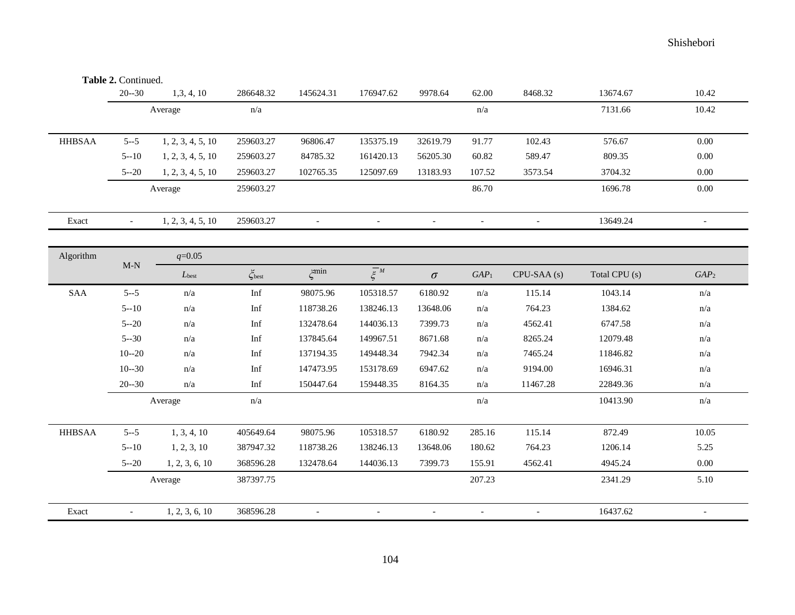**Table 2.** Continued.

|               | $20 - 30$                          | 1,3,4,10                | 286648.32          | 145624.31                | 176947.62                | 9978.64                  | 62.00                    | 8468.32                  | 13674.67      | 10.42                    |
|---------------|------------------------------------|-------------------------|--------------------|--------------------------|--------------------------|--------------------------|--------------------------|--------------------------|---------------|--------------------------|
|               |                                    | Average                 | n/a                |                          |                          |                          | n/a                      |                          | 7131.66       | 10.42                    |
|               |                                    |                         |                    |                          |                          |                          |                          |                          |               |                          |
| <b>HHBSAA</b> | $5 - 5$                            | 1, 2, 3, 4, 5, 10       | 259603.27          | 96806.47                 | 135375.19                | 32619.79                 | 91.77                    | 102.43                   | 576.67        | 0.00                     |
|               | $5 - 10$                           | 1, 2, 3, 4, 5, 10       | 259603.27          | 84785.32                 | 161420.13                | 56205.30                 | 60.82                    | 589.47                   | 809.35        | 0.00                     |
|               | $5 - 20$                           | 1, 2, 3, 4, 5, 10       | 259603.27          | 102765.35                | 125097.69                | 13183.93                 | 107.52                   | 3573.54                  | 3704.32       | 0.00                     |
|               | Average                            |                         | 259603.27          |                          |                          |                          | 86.70                    |                          | 1696.78       | $0.00\,$                 |
| Exact         | $\overline{\phantom{a}}$           | 1, 2, 3, 4, 5, 10       | 259603.27          | $\overline{\phantom{a}}$ | $\overline{\phantom{a}}$ | $\overline{\phantom{a}}$ | $\overline{\phantom{a}}$ | $\overline{\phantom{a}}$ | 13649.24      | $\overline{\phantom{a}}$ |
| Algorithm     |                                    | $q=0.05$                |                    |                          |                          |                          |                          |                          |               |                          |
|               | $\ensuremath{\mathsf{M\text{-}N}}$ | $L_{best}$              | $\zeta_{\rm best}$ | $\zeta^{\min}$           | $\overline{\xi}^M$       | $\sigma$                 | $GAP_1$                  | CPU-SAA (s)              | Total CPU (s) | GAP <sub>2</sub>         |
| SAA           | $5 - 5$                            | n/a                     | Inf                | 98075.96                 | 105318.57                | 6180.92                  | n/a                      | 115.14                   | 1043.14       | n/a                      |
|               | $5 - 10$                           | n/a                     | Inf                | 118738.26                | 138246.13                | 13648.06                 | n/a                      | 764.23                   | 1384.62       | n/a                      |
|               | $5 - 20$                           | n/a                     | Inf                | 132478.64                | 144036.13                | 7399.73                  | n/a                      | 4562.41                  | 6747.58       | n/a                      |
|               | $5 - 30$                           | n/a                     | Inf                | 137845.64                | 149967.51                | 8671.68                  | n/a                      | 8265.24                  | 12079.48      | n/a                      |
|               | $10 - 20$                          | $\mathrm{n}/\mathrm{a}$ | Inf                | 137194.35                | 149448.34                | 7942.34                  | n/a                      | 7465.24                  | 11846.82      | n/a                      |
|               | $10 - 30$                          | n/a                     | Inf                | 147473.95                | 153178.69                | 6947.62                  | n/a                      | 9194.00                  | 16946.31      | n/a                      |
|               | $20 - 30$                          | n/a                     | Inf                | 150447.64                | 159448.35                | 8164.35                  | n/a                      | 11467.28                 | 22849.36      | n/a                      |
|               | Average                            |                         | n/a                |                          |                          |                          | n/a                      |                          | 10413.90      | n/a                      |
| <b>HHBSAA</b> | $5 - 5$                            | 1, 3, 4, 10             | 405649.64          | 98075.96                 | 105318.57                | 6180.92                  | 285.16                   | 115.14                   | 872.49        | 10.05                    |
|               | $5 - 10$                           | 1, 2, 3, 10             | 387947.32          | 118738.26                | 138246.13                | 13648.06                 | 180.62                   | 764.23                   | 1206.14       | 5.25                     |
|               | $5 - 20$                           | 1, 2, 3, 6, 10          | 368596.28          | 132478.64                | 144036.13                | 7399.73                  | 155.91                   | 4562.41                  | 4945.24       | 0.00                     |
|               | Average                            |                         | 387397.75          |                          |                          |                          | 207.23                   |                          | 2341.29       | 5.10                     |
| Exact         | $\overline{\phantom{a}}$           | 1, 2, 3, 6, 10          | 368596.28          |                          | $\blacksquare$           | $\overline{\phantom{a}}$ | $\overline{\phantom{a}}$ | $\overline{\phantom{a}}$ | 16437.62      | $\overline{\phantom{a}}$ |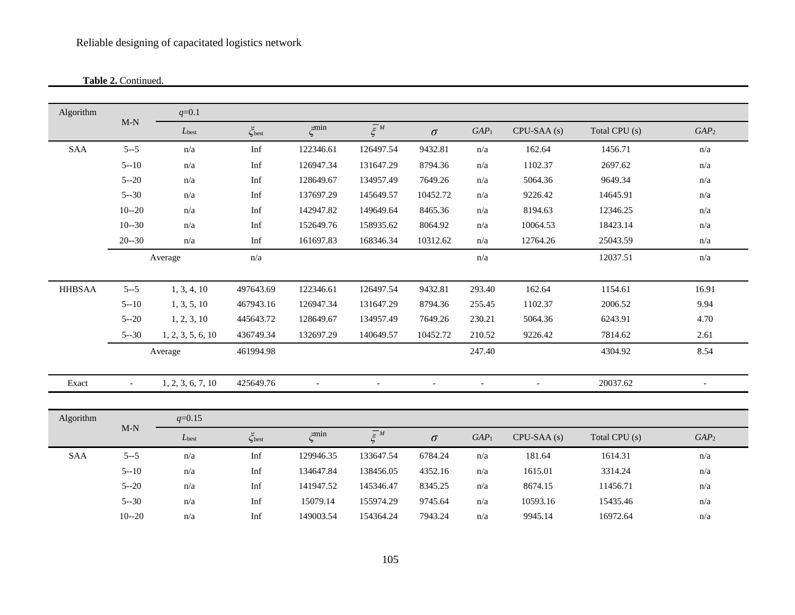**Table 2.** Continued.

| Algorithm     | $\ensuremath{\mathsf{M\text{-}N}}$ | $q=0.1$                 |                    |                |                      |           |                          |              |               |                  |
|---------------|------------------------------------|-------------------------|--------------------|----------------|----------------------|-----------|--------------------------|--------------|---------------|------------------|
|               |                                    | $L_{best}$              | $\zeta_{\rm best}$ | $\zeta^{\min}$ | $\overline{\xi}^{M}$ | $\sigma$  | GAP <sub>1</sub>         | $CPU-SAA(s)$ | Total CPU (s) | GAP <sub>2</sub> |
| SAA           | $5 - 5$                            | $\mathrm{n}/\mathrm{a}$ | Inf                | 122346.61      | 126497.54            | 9432.81   | $\mathrm{n}/\mathrm{a}$  | 162.64       | 1456.71       | n/a              |
|               | $5 - 10$                           | n/a                     | Inf                | 126947.34      | 131647.29            | 8794.36   | n/a                      | 1102.37      | 2697.62       | n/a              |
|               | $5 - 20$                           | n/a                     | Inf                | 128649.67      | 134957.49            | 7649.26   | n/a                      | 5064.36      | 9649.34       | n/a              |
|               | $5 - 30$                           | $\mathrm{n}/\mathrm{a}$ | Inf                | 137697.29      | 145649.57            | 10452.72  | n/a                      | 9226.42      | 14645.91      | n/a              |
|               | $10 - 20$                          | n/a                     | Inf                | 142947.82      | 149649.64            | 8465.36   | n/a                      | 8194.63      | 12346.25      | n/a              |
|               | $10 - 30$                          | n/a                     | Inf                | 152649.76      | 158935.62            | 8064.92   | n/a                      | 10064.53     | 18423.14      | n/a              |
|               | $20 - 30$                          | n/a                     | Inf                | 161697.83      | 168346.34            | 10312.62  | n/a                      | 12764.26     | 25043.59      | n/a              |
|               |                                    | Average                 | n/a                |                |                      |           | $\mathrm{n}/\mathrm{a}$  |              | 12037.51      | n/a              |
|               |                                    |                         |                    |                |                      |           |                          |              |               |                  |
| <b>HHBSAA</b> | $5 - -5$                           | 1, 3, 4, 10             | 497643.69          | 122346.61      | 126497.54            | 9432.81   | 293.40                   | 162.64       | 1154.61       | 16.91            |
|               | $5 - 10$                           | 1, 3, 5, 10             | 467943.16          | 126947.34      | 131647.29            | 8794.36   | 255.45                   | 1102.37      | 2006.52       | 9.94             |
|               | $5 - 20$                           | 1, 2, 3, 10             | 445643.72          | 128649.67      | 134957.49            | 7649.26   | 230.21                   | 5064.36      | 6243.91       | 4.70             |
|               | $5 - 30$                           | 1, 2, 3, 5, 6, 10       | 436749.34          | 132697.29      | 140649.57            | 10452.72  | 210.52                   | 9226.42      | 7814.62       | 2.61             |
|               |                                    | Average                 | 461994.98          |                |                      |           | 247.40                   |              | 4304.92       | 8.54             |
| Exact         | $\overline{\phantom{a}}$           | 1, 2, 3, 6, 7, 10       | 425649.76          | $\blacksquare$ | $\overline{a}$       | $\bar{a}$ | $\overline{\phantom{a}}$ | $\sim$       | 20037.62      | $\bar{a}$        |
|               |                                    |                         |                    |                |                      |           |                          |              |               |                  |
| Algorithm     | $\mathbf{M}\text{-}\mathbf{N}$     | $q=0.15$                |                    |                |                      |           |                          |              |               |                  |
|               |                                    | $L_{best}$              | $\zeta_{\rm best}$ | $\zeta^{min}$  | $\overline{\xi}^M$   | $\sigma$  | GAP <sub>1</sub>         | $CPU-SAA(s)$ | Total CPU (s) | GAP <sub>2</sub> |
| SAA           | $5 - 5$                            | n/a                     | Inf                | 129946.35      | 133647.54            | 6784.24   | $\mathrm{n}/\mathrm{a}$  | 181.64       | 1614.31       | n/a              |
|               | $5 - 10$                           | n/a                     | Inf                | 134647.84      | 138456.05            | 4352.16   | n/a                      | 1615.01      | 3314.24       | n/a              |
|               | $5 - 20$                           | n/a                     | Inf                | 141947.52      | 145346.47            | 8345.25   | n/a                      | 8674.15      | 11456.71      | n/a              |
|               | $5 - 30$                           | n/a                     | Inf                | 15079.14       | 155974.29            | 9745.64   | n/a                      | 10593.16     | 15435.46      | n/a              |
|               | $10 - 20$                          | n/a                     | Inf                | 149003.54      | 154364.24            | 7943.24   | n/a                      | 9945.14      | 16972.64      | n/a              |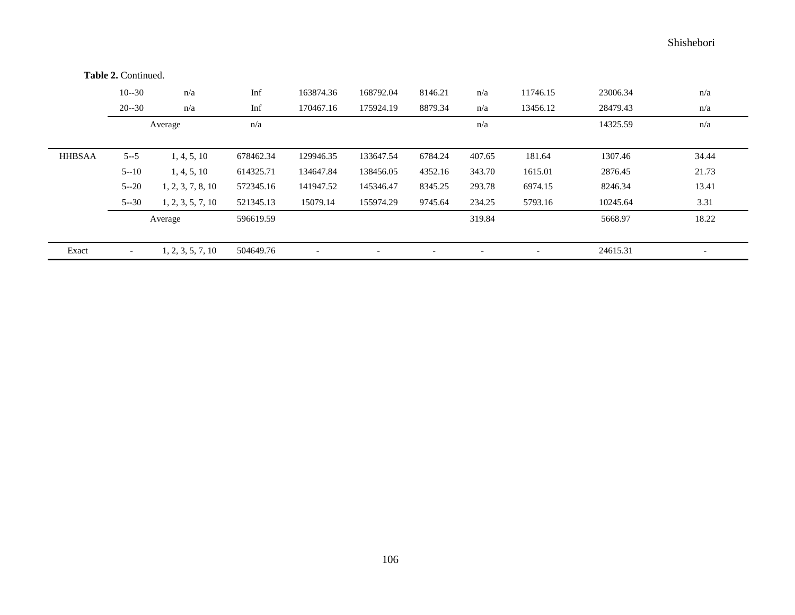10--30 n/a Inf 163874.36 168792.04 8146.21 n/a 11746.15 23006.34 n/a 20--30 n/a Inf 170467.16 175924.19 8879.34 n/a 13456.12 28479.43 n/a Average  $n/a$   $n/a$   $n/a$ HHBSAA 5--5 1, 4, 5, 10 678462.34 129946.35 133647.54 6784.24 407.65 181.64 1307.46 34.44 5--10 1, 4, 5, 10 614325.71 134647.84 138456.05 4352.16 343.70 1615.01 2876.45 21.73 5--20 1, 2, 3, 7, 8, 10 572345.16 141947.52 145346.47 8345.25 293.78 6974.15 8246.34 13.41 5--30 1, 2, 3, 5, 7, 10 521345.13 15079.14 155974.29 9745.64 234.25 5793.16 10245.64 3.31 Average 596619.59 596619.59 568.97 5668.97 5668.97 Exact - 1, 2, 3, 5, 7, 10 504649.76 - - - - - - - - - - - - - 24615.31 -**Table 2.** Continued.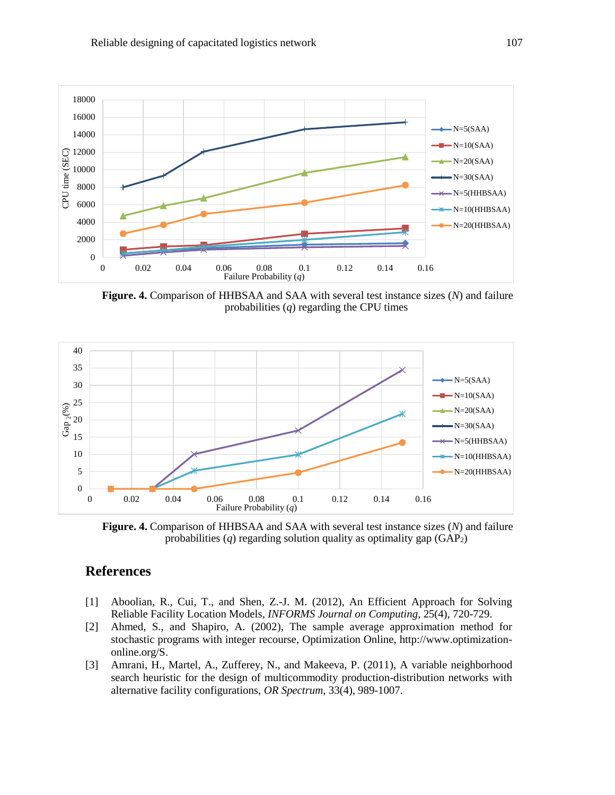

**Figure. 4.** Comparison of HHBSAA and SAA with several test instance sizes (*N*) and failure probabilities (*q*) regarding the CPU times



**Figure. 4.** Comparison of HHBSAA and SAA with several test instance sizes (*N*) and failure probabilities  $(q)$  regarding solution quality as optimality gap  $(GAP<sub>2</sub>)$ 

# **References**

- [1] Aboolian, R., Cui, T., and Shen, Z.-J. M. (2012), An Efficient Approach for Solving Reliable Facility Location Models, *INFORMS Journal on Computing*, 25(4), 720-729.
- [2] Ahmed, S., and Shapiro, A. (2002), The sample average approximation method for stochastic programs with integer recourse, Optimization Online, http://www.optimizationonline.org/S.
- [3] Amrani, H., Martel, A., Zufferey, N., and Makeeva, P. (2011), A variable neighborhood search heuristic for the design of multicommodity production-distribution networks with alternative facility configurations, *OR Spectrum*, 33(4), 989-1007.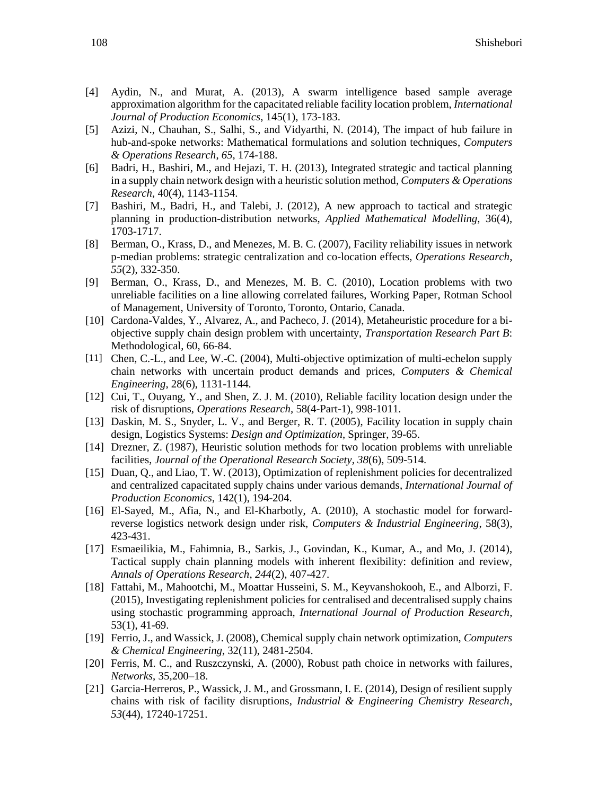- [4] Aydin, N., and Murat, A. (2013), A swarm intelligence based sample average approximation algorithm for the capacitated reliable facility location problem, *International Journal of Production Economics*, 145(1), 173-183.
- [5] Azizi, N., Chauhan, S., Salhi, S., and Vidyarthi, N. (2014), The impact of hub failure in hub-and-spoke networks: Mathematical formulations and solution techniques, *Computers & Operations Research*, *65*, 174-188.
- [6] Badri, H., Bashiri, M., and Hejazi, T. H. (2013), Integrated strategic and tactical planning in a supply chain network design with a heuristic solution method, *Computers & Operations Research*, 40(4), 1143-1154.
- [7] Bashiri, M., Badri, H., and Talebi, J. (2012), A new approach to tactical and strategic planning in production-distribution networks, *Applied Mathematical Modelling*, 36(4), 1703-1717.
- [8] Berman, O., Krass, D., and Menezes, M. B. C. (2007), Facility reliability issues in network p-median problems: strategic centralization and co-location effects, *Operations Research*, *55*(2), 332-350.
- [9] Berman, O., Krass, D., and Menezes, M. B. C. (2010), Location problems with two unreliable facilities on a line allowing correlated failures, Working Paper, Rotman School of Management, University of Toronto, Toronto, Ontario, Canada.
- [10] Cardona-Valdes, Y., Alvarez, A., and Pacheco, J. (2014), Metaheuristic procedure for a biobjective supply chain design problem with uncertainty, *Transportation Research Part B*: Methodological, 60, 66-84.
- [11] Chen, C.-L., and Lee, W.-C. (2004), Multi-objective optimization of multi-echelon supply chain networks with uncertain product demands and prices, *Computers & Chemical Engineering*, 28(6), 1131-1144.
- [12] Cui, T., Ouyang, Y., and Shen, Z. J. M. (2010), Reliable facility location design under the risk of disruptions, *Operations Research,* 58(4-Part-1), 998-1011.
- [13] Daskin, M. S., Snyder, L. V., and Berger, R. T. (2005), Facility location in supply chain design, Logistics Systems: *Design and Optimization*, Springer, 39-65.
- [14] Drezner, Z. (1987), Heuristic solution methods for two location problems with unreliable facilities, *Journal of the Operational Research Society*, *38*(6), 509-514.
- [15] Duan, Q., and Liao, T. W. (2013), Optimization of replenishment policies for decentralized and centralized capacitated supply chains under various demands, *International Journal of Production Economics*, 142(1), 194-204.
- [16] El-Sayed, M., Afia, N., and El-Kharbotly, A. (2010), A stochastic model for forwardreverse logistics network design under risk, *Computers & Industrial Engineering*, 58(3), 423-431.
- [17] Esmaeilikia, M., Fahimnia, B., Sarkis, J., Govindan, K., Kumar, A., and Mo, J. (2014), Tactical supply chain planning models with inherent flexibility: definition and review, *Annals of Operations Research*, *244*(2), 407-427.
- [18] Fattahi, M., Mahootchi, M., Moattar Husseini, S. M., Keyvanshokooh, E., and Alborzi, F. (2015), Investigating replenishment policies for centralised and decentralised supply chains using stochastic programming approach, *International Journal of Production Research*, 53(1), 41-69.
- [19] Ferrio, J., and Wassick, J. (2008), Chemical supply chain network optimization, *Computers & Chemical Engineering*, 32(11), 2481-2504.
- [20] Ferris, M. C., and Ruszczynski, A. (2000), Robust path choice in networks with failures, *Networks*, 35,200–18.
- [21] Garcia-Herreros, P., Wassick, J. M., and Grossmann, I. E. (2014), Design of resilient supply chains with risk of facility disruptions, *Industrial & Engineering Chemistry Research*, *53*(44), 17240-17251.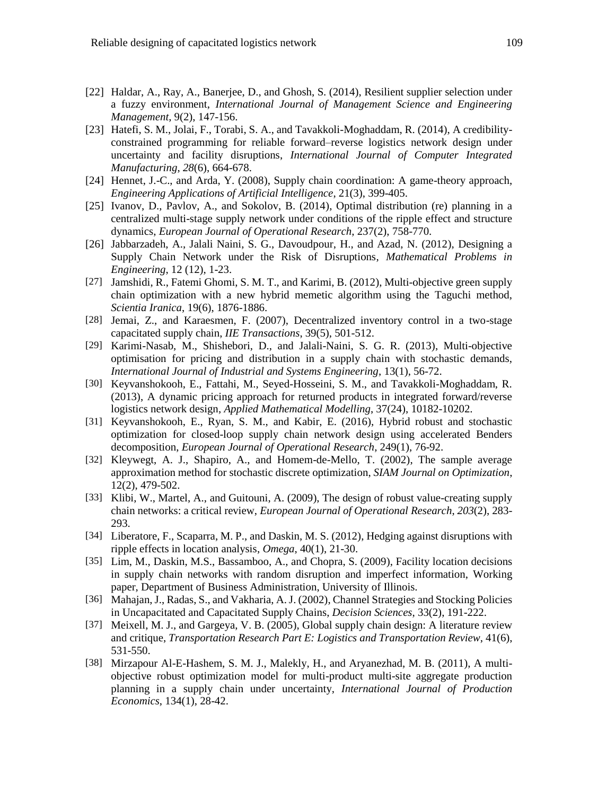- [22] Haldar, A., Ray, A., Banerjee, D., and Ghosh, S. (2014), Resilient supplier selection under a fuzzy environment, *International Journal of Management Science and Engineering Management*, 9(2), 147-156.
- [23] Hatefi, S. M., Jolai, F., Torabi, S. A., and Tavakkoli-Moghaddam, R. (2014), A credibilityconstrained programming for reliable forward–reverse logistics network design under uncertainty and facility disruptions, *International Journal of Computer Integrated Manufacturing*, *28*(6), 664-678.
- [24] Hennet, J.-C., and Arda, Y. (2008), Supply chain coordination: A game-theory approach, *Engineering Applications of Artificial Intelligence*, 21(3), 399-405.
- [25] Ivanov, D., Pavlov, A., and Sokolov, B. (2014), Optimal distribution (re) planning in a centralized multi-stage supply network under conditions of the ripple effect and structure dynamics, *European Journal of Operational Research*, 237(2), 758-770.
- [26] Jabbarzadeh, A., Jalali Naini, S. G., Davoudpour, H., and Azad, N. (2012), Designing a Supply Chain Network under the Risk of Disruptions, *Mathematical Problems in Engineering*, 12 (12), 1-23.
- [27] Jamshidi, R., Fatemi Ghomi, S. M. T., and Karimi, B. (2012), Multi-objective green supply chain optimization with a new hybrid memetic algorithm using the Taguchi method, *Scientia Iranica*, 19(6), 1876-1886.
- [28] Jemai, Z., and Karaesmen, F. (2007), Decentralized inventory control in a two-stage capacitated supply chain, *IIE Transactions*, 39(5), 501-512.
- [29] Karimi-Nasab, M., Shishebori, D., and Jalali-Naini, S. G. R. (2013), Multi-objective optimisation for pricing and distribution in a supply chain with stochastic demands, *International Journal of Industrial and Systems Engineering*, 13(1), 56-72.
- [30] Keyvanshokooh, E., Fattahi, M., Seyed-Hosseini, S. M., and Tavakkoli-Moghaddam, R. (2013), A dynamic pricing approach for returned products in integrated forward/reverse logistics network design, *Applied Mathematical Modelling*, 37(24), 10182-10202.
- [31] Keyvanshokooh, E., Ryan, S. M., and Kabir, E. (2016), Hybrid robust and stochastic optimization for closed-loop supply chain network design using accelerated Benders decomposition, *European Journal of Operational Research*, 249(1), 76-92.
- [32] Kleywegt, A. J., Shapiro, A., and Homem-de-Mello, T. (2002), The sample average approximation method for stochastic discrete optimization, *SIAM Journal on Optimization*, 12(2), 479-502.
- [33] Klibi, W., Martel, A., and Guitouni, A. (2009), The design of robust value-creating supply chain networks: a critical review, *European Journal of Operational Research*, *203*(2), 283- 293.
- [34] Liberatore, F., Scaparra, M. P., and Daskin, M. S. (2012), Hedging against disruptions with ripple effects in location analysis, *Omega*, 40(1), 21-30.
- [35] Lim, M., Daskin, M.S., Bassamboo, A., and Chopra, S. (2009), Facility location decisions in supply chain networks with random disruption and imperfect information, Working paper, Department of Business Administration, University of Illinois.
- [36] Mahajan, J., Radas, S., and Vakharia, A. J. (2002), Channel Strategies and Stocking Policies in Uncapacitated and Capacitated Supply Chains, *Decision Sciences*, 33(2), 191-222.
- [37] Meixell, M. J., and Gargeya, V. B. (2005), Global supply chain design: A literature review and critique, *Transportation Research Part E: Logistics and Transportation Review*, 41(6), 531-550.
- [38] Mirzapour Al-E-Hashem, S. M. J., Malekly, H., and Aryanezhad, M. B. (2011), A multiobjective robust optimization model for multi-product multi-site aggregate production planning in a supply chain under uncertainty, *International Journal of Production Economics*, 134(1), 28-42.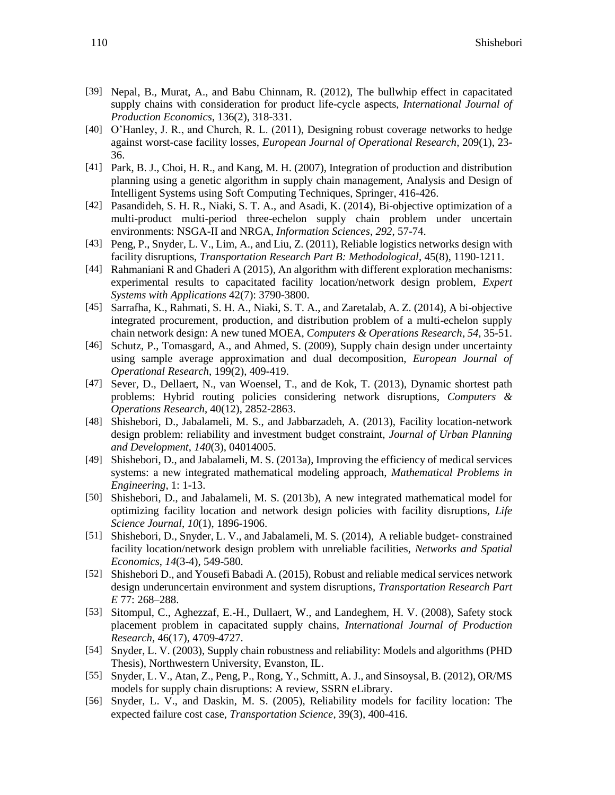- [39] Nepal, B., Murat, A., and Babu Chinnam, R. (2012), The bullwhip effect in capacitated supply chains with consideration for product life-cycle aspects, *International Journal of Production Economics*, 136(2), 318-331.
- [40] O'Hanley, J. R., and Church, R. L. (2011), Designing robust coverage networks to hedge against worst-case facility losses, *European Journal of Operational Research*, 209(1), 23- 36.
- [41] Park, B. J., Choi, H. R., and Kang, M. H. (2007), Integration of production and distribution planning using a genetic algorithm in supply chain management, Analysis and Design of Intelligent Systems using Soft Computing Techniques, Springer, 416-426.
- [42] Pasandideh, S. H. R., Niaki, S. T. A., and Asadi, K. (2014), Bi-objective optimization of a multi-product multi-period three-echelon supply chain problem under uncertain environments: NSGA-II and NRGA, *Information Sciences*, *292*, 57-74.
- [43] Peng, P., Snyder, L. V., Lim, A., and Liu, Z. (2011), Reliable logistics networks design with facility disruptions, *Transportation Research Part B: Methodological*, 45(8), 1190-1211.
- [44] Rahmaniani R and Ghaderi A (2015), An algorithm with different exploration mechanisms: experimental results to capacitated facility location/network design problem, *Expert Systems with Applications* 42(7): 3790-3800.
- [45] Sarrafha, K., Rahmati, S. H. A., Niaki, S. T. A., and Zaretalab, A. Z. (2014), A bi-objective integrated procurement, production, and distribution problem of a multi-echelon supply chain network design: A new tuned MOEA, *Computers & Operations Research*, *54*, 35-51.
- [46] Schutz, P., Tomasgard, A., and Ahmed, S. (2009), Supply chain design under uncertainty using sample average approximation and dual decomposition, *European Journal of Operational Research*, 199(2), 409-419.
- [47] Sever, D., Dellaert, N., van Woensel, T., and de Kok, T. (2013), Dynamic shortest path problems: Hybrid routing policies considering network disruptions, *Computers & Operations Research*, 40(12), 2852-2863.
- [48] Shishebori, D., Jabalameli, M. S., and Jabbarzadeh, A. (2013), Facility location-network design problem: reliability and investment budget constraint, *Journal of Urban Planning and Development*, *140*(3), 04014005.
- [49] Shishebori, D., and Jabalameli, M. S. (2013a), Improving the efficiency of medical services systems: a new integrated mathematical modeling approach, *Mathematical Problems in Engineering*, 1: 1-13.
- [50] Shishebori, D., and Jabalameli, M. S. (2013b), A new integrated mathematical model for optimizing facility location and network design policies with facility disruptions, *Life Science Journal*, *10*(1), 1896-1906.
- [51] Shishebori, D., Snyder, L. V., and Jabalameli, M. S. (2014), A reliable budget- constrained facility location/network design problem with unreliable facilities, *Networks and Spatial Economics*, *14*(3-4), 549-580.
- [52] Shishebori D., and Yousefi Babadi A. (2015), Robust and reliable medical services network design underuncertain environment and system disruptions, *Transportation Research Part E* 77: 268–288.
- [53] Sitompul, C., Aghezzaf, E.-H., Dullaert, W., and Landeghem, H. V. (2008), Safety stock placement problem in capacitated supply chains, *International Journal of Production Research*, 46(17), 4709-4727.
- [54] Snyder, L. V. (2003), Supply chain robustness and reliability: Models and algorithms (PHD Thesis), Northwestern University, Evanston, IL.
- [55] Snyder, L. V., Atan, Z., Peng, P., Rong, Y., Schmitt, A. J., and Sinsoysal, B. (2012), OR/MS models for supply chain disruptions: A review, SSRN eLibrary.
- [56] Snyder, L. V., and Daskin, M. S. (2005), Reliability models for facility location: The expected failure cost case, *Transportation Science*, 39(3), 400-416.